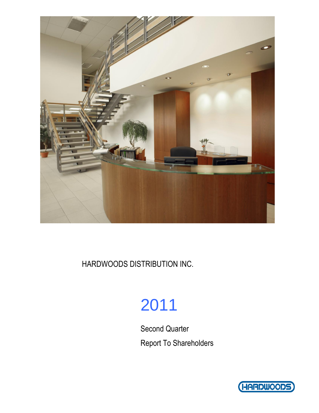

HARDWOODS DISTRIBUTION INC.

# 2011

Second Quarter Report To Shareholders

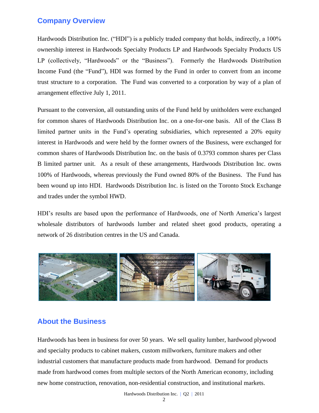### **Company Overview**

Hardwoods Distribution Inc. ("HDI") is a publicly traded company that holds, indirectly, a 100% ownership interest in Hardwoods Specialty Products LP and Hardwoods Specialty Products US LP (collectively, "Hardwoods" or the "Business"). Formerly the Hardwoods Distribution Income Fund (the "Fund"), HDI was formed by the Fund in order to convert from an income trust structure to a corporation. The Fund was converted to a corporation by way of a plan of arrangement effective July 1, 2011.

Pursuant to the conversion, all outstanding units of the Fund held by unitholders were exchanged for common shares of Hardwoods Distribution Inc. on a one-for-one basis. All of the Class B limited partner units in the Fund's operating subsidiaries, which represented a 20% equity interest in Hardwoods and were held by the former owners of the Business, were exchanged for common shares of Hardwoods Distribution Inc. on the basis of 0.3793 common shares per Class B limited partner unit. As a result of these arrangements, Hardwoods Distribution Inc. owns 100% of Hardwoods, whereas previously the Fund owned 80% of the Business. The Fund has been wound up into HDI. Hardwoods Distribution Inc. is listed on the [Toronto Stock Exchange](http://tmx.quotemedia.com/quote.php?qm_symbol=TPK&locale=EN)  [and trades under the symbol](http://tmx.quotemedia.com/quote.php?qm_symbol=TPK&locale=EN) HWD.

HDI's results are based upon the performance of Hardwoods, one of North America's largest wholesale distributors of hardwoods lumber and related sheet good products, operating a network of 26 distribution centres in the US and Canada.



## **About the Business**

Hardwoods has been in business for over 50 years. We sell quality lumber, hardwood plywood and specialty products to cabinet makers, custom millworkers, furniture makers and other industrial customers that manufacture products made from hardwood. Demand for products made from hardwood comes from multiple sectors of the North American economy, including new home construction, renovation, non-residential construction, and institutional markets.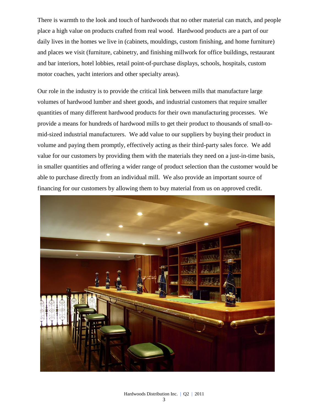There is warmth to the look and touch of hardwoods that no other material can match, and people place a high value on products crafted from real wood. Hardwood products are a part of our daily lives in the homes we live in (cabinets, mouldings, custom finishing, and home furniture) and places we visit (furniture, cabinetry, and finishing millwork for office buildings, restaurant and bar interiors, hotel lobbies, retail point-of-purchase displays, schools, hospitals, custom motor coaches, yacht interiors and other specialty areas).

Our role in the industry is to provide the critical link between mills that manufacture large volumes of hardwood lumber and sheet goods, and industrial customers that require smaller quantities of many different hardwood products for their own manufacturing processes. We provide a means for hundreds of hardwood mills to get their product to thousands of small-tomid-sized industrial manufacturers. We add value to our suppliers by buying their product in volume and paying them promptly, effectively acting as their third-party sales force. We add value for our customers by providing them with the materials they need on a just-in-time basis, in smaller quantities and offering a wider range of product selection than the customer would be able to purchase directly from an individual mill. We also provide an important source of financing for our customers by allowing them to buy material from us on approved credit.

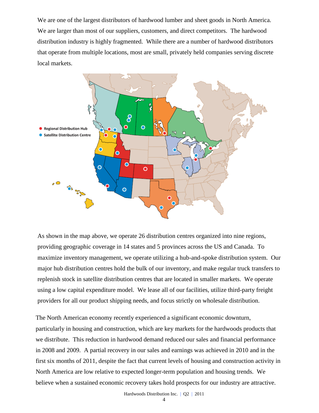We are one of the largest distributors of hardwood lumber and sheet goods in North America. We are larger than most of our suppliers, customers, and direct competitors. The hardwood distribution industry is highly fragmented. While there are a number of hardwood distributors that operate from multiple locations, most are small, privately held companies serving discrete local markets.



As shown in the map above, we operate 26 distribution centres organized into nine regions, providing geographic coverage in 14 states and 5 provinces across the US and Canada. To maximize inventory management, we operate utilizing a hub-and-spoke distribution system. Our major hub distribution centres hold the bulk of our inventory, and make regular truck transfers to replenish stock in satellite distribution centres that are located in smaller markets. We operate using a low capital expenditure model. We lease all of our facilities, utilize third-party freight providers for all our product shipping needs, and focus strictly on wholesale distribution.

The North American economy recently experienced a significant economic downturn, particularly in housing and construction, which are key markets for the hardwoods products that we distribute. This reduction in hardwood demand reduced our sales and financial performance in 2008 and 2009. A partial recovery in our sales and earnings was achieved in 2010 and in the first six months of 2011, despite the fact that current levels of housing and construction activity in North America are low relative to expected longer-term population and housing trends. We believe when a sustained economic recovery takes hold prospects for our industry are attractive.

 $\Delta$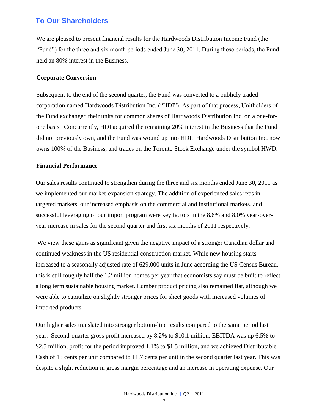### **To Our Shareholders**

We are pleased to present financial results for the Hardwoods Distribution Income Fund (the "Fund") for the three and six month periods ended June 30, 2011. During these periods, the Fund held an 80% interest in the Business.

#### **Corporate Conversion**

Subsequent to the end of the second quarter, the Fund was converted to a publicly traded corporation named Hardwoods Distribution Inc. ("HDI"). As part of that process, Unitholders of the Fund exchanged their units for common shares of Hardwoods Distribution Inc. on a one-forone basis. Concurrently, HDI acquired the remaining 20% interest in the Business that the Fund did not previously own, and the Fund was wound up into HDI. Hardwoods Distribution Inc. now owns 100% of the Business, and trades on the Toronto Stock Exchange under the symbol HWD.

#### **Financial Performance**

Our sales results continued to strengthen during the three and six months ended June 30, 2011 as we implemented our market-expansion strategy. The addition of experienced sales reps in targeted markets, our increased emphasis on the commercial and institutional markets, and successful leveraging of our import program were key factors in the 8.6% and 8.0% year-overyear increase in sales for the second quarter and first six months of 2011 respectively.

We view these gains as significant given the negative impact of a stronger Canadian dollar and continued weakness in the US residential construction market. While new housing starts increased to a seasonally adjusted rate of 629,000 units in June according the US Census Bureau, this is still roughly half the 1.2 million homes per year that economists say must be built to reflect a long term sustainable housing market. Lumber product pricing also remained flat, although we were able to capitalize on slightly stronger prices for sheet goods with increased volumes of imported products.

Our higher sales translated into stronger bottom-line results compared to the same period last year. Second-quarter gross profit increased by 8.2% to \$10.1 million, EBITDA was up 6.5% to \$2.5 million, profit for the period improved 1.1% to \$1.5 million, and we achieved Distributable Cash of 13 cents per unit compared to 11.7 cents per unit in the second quarter last year. This was despite a slight reduction in gross margin percentage and an increase in operating expense. Our

5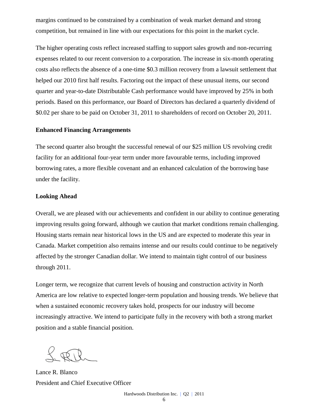margins continued to be constrained by a combination of weak market demand and strong competition, but remained in line with our expectations for this point in the market cycle.

The higher operating costs reflect increased staffing to support sales growth and non-recurring expenses related to our recent conversion to a corporation. The increase in six-month operating costs also reflects the absence of a one-time \$0.3 million recovery from a lawsuit settlement that helped our 2010 first half results. Factoring out the impact of these unusual items, our second quarter and year-to-date Distributable Cash performance would have improved by 25% in both periods. Based on this performance, our Board of Directors has declared a quarterly dividend of \$0.02 per share to be paid on October 31, 2011 to shareholders of record on October 20, 2011.

#### **Enhanced Financing Arrangements**

The second quarter also brought the successful renewal of our \$25 million US revolving credit facility for an additional four-year term under more favourable terms, including improved borrowing rates, a more flexible covenant and an enhanced calculation of the borrowing base under the facility.

#### **Looking Ahead**

Overall, we are pleased with our achievements and confident in our ability to continue generating improving results going forward, although we caution that market conditions remain challenging. Housing starts remain near historical lows in the US and are expected to moderate this year in Canada. Market competition also remains intense and our results could continue to be negatively affected by the stronger Canadian dollar. We intend to maintain tight control of our business through 2011.

Longer term, we recognize that current levels of housing and construction activity in North America are low relative to expected longer-term population and housing trends. We believe that when a sustained economic recovery takes hold, prospects for our industry will become increasingly attractive. We intend to participate fully in the recovery with both a strong market position and a stable financial position.

Lance R. Blanco President and Chief Executive Officer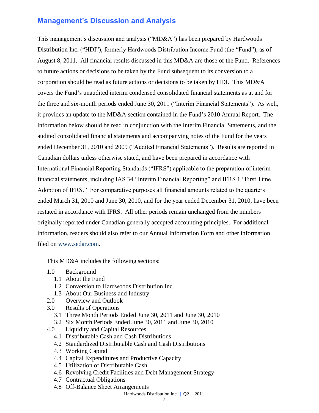### **Management's Discussion and Analysis**

This management's discussion and analysis ("MD&A") has been prepared by Hardwoods Distribution Inc. ("HDI"), formerly Hardwoods Distribution Income Fund (the "Fund"), as of August 8, 2011. All financial results discussed in this MD&A are those of the Fund. References to future actions or decisions to be taken by the Fund subsequent to its conversion to a corporation should be read as future actions or decisions to be taken by HDI. This MD&A covers the Fund's unaudited interim condensed consolidated financial statements as at and for the three and six-month periods ended June 30, 2011 ("Interim Financial Statements"). As well, it provides an update to the MD&A section contained in the Fund's 2010 Annual Report. The information below should be read in conjunction with the Interim Financial Statements, and the audited consolidated financial statements and accompanying notes of the Fund for the years ended December 31, 2010 and 2009 ("Audited Financial Statements"). Results are reported in Canadian dollars unless otherwise stated, and have been prepared in accordance with International Financial Reporting Standards ("IFRS") applicable to the preparation of interim financial statements, including IAS 34 "Interim Financial Reporting" and IFRS 1 "First Time Adoption of IFRS." For comparative purposes all financial amounts related to the quarters ended March 31, 2010 and June 30, 2010, and for the year ended December 31, 2010, have been restated in accordance with IFRS. All other periods remain unchanged from the numbers originally reported under Canadian generally accepted accounting principles. For additional information, readers should also refer to our Annual Information Form and other information filed on [www.sedar.com.](http://www.sedar.com/)

This MD&A includes the following sections:

- 1.0 Background
	- 1.1 About the Fund
	- 1.2 Conversion to Hardwoods Distribution Inc.
	- 1.3 About Our Business and Industry
- 2.0 Overview and Outlook
- 3.0 Results of Operations
	- 3.1 Three Month Periods Ended June 30, 2011 and June 30, 2010
	- 3.2 Six Month Periods Ended June 30, 2011 and June 30, 2010
- 4.0 Liquidity and Capital Resources
	- 4.1 Distributable Cash and Cash Distributions
	- 4.2 Standardized Distributable Cash and Cash Distributions
	- 4.3 Working Capital
	- 4.4 Capital Expenditures and Productive Capacity
	- 4.5 Utilization of Distributable Cash
	- 4.6 Revolving Credit Facilities and Debt Management Strategy
	- 4.7 Contractual Obligations
	- 4.8 Off-Balance Sheet Arrangements
		- Hardwoods Distribution Inc. | Q2 | 2011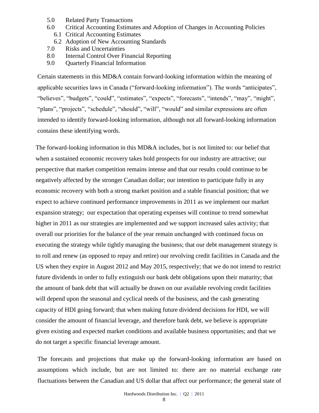- 5.0 Related Party Transactions
- 6.0 Critical Accounting Estimates and Adoption of Changes in Accounting Policies
	- 6.1 Critical Accounting Estimates
- 6.2 Adoption of New Accounting Standards
- 7.0 Risks and Uncertainties
- 8.0 Internal Control Over Financial Reporting
- 9.0 Quarterly Financial Information

Certain statements in this MD&A contain forward-looking information within the meaning of applicable securities laws in Canada ("forward-looking information"). The words "anticipates", "believes", "budgets", "could", "estimates", "expects", "forecasts", "intends", "may", "might", "plans", "projects", "schedule", "should", "will", "would" and similar expressions are often intended to identify forward-looking information, although not all forward-looking information contains these identifying words.

The forward-looking information in this MD&A includes, but is not limited to: our belief that when a sustained economic recovery takes hold prospects for our industry are attractive; our perspective that market competition remains intense and that our results could continue to be negatively affected by the stronger Canadian dollar; our intention to participate fully in any economic recovery with both a strong market position and a stable financial position; that we expect to achieve continued performance improvements in 2011 as we implement our market expansion strategy; our expectation that operating expenses will continue to trend somewhat higher in 2011 as our strategies are implemented and we support increased sales activity; that overall our priorities for the balance of the year remain unchanged with continued focus on executing the strategy while tightly managing the business; that our debt management strategy is to roll and renew (as opposed to repay and retire) our revolving credit facilities in Canada and the US when they expire in August 2012 and May 2015, respectively; that we do not intend to restrict future dividends in order to fully extinguish our bank debt obligations upon their maturity; that the amount of bank debt that will actually be drawn on our available revolving credit facilities will depend upon the seasonal and cyclical needs of the business, and the cash generating capacity of HDI going forward; that when making future dividend decisions for HDI, we will consider the amount of financial leverage, and therefore bank debt, we believe is appropriate given existing and expected market conditions and available business opportunities; and that we do not target a specific financial leverage amount.

The forecasts and projections that make up the forward-looking information are based on assumptions which include, but are not limited to: there are no material exchange rate fluctuations between the Canadian and US dollar that affect our performance; the general state of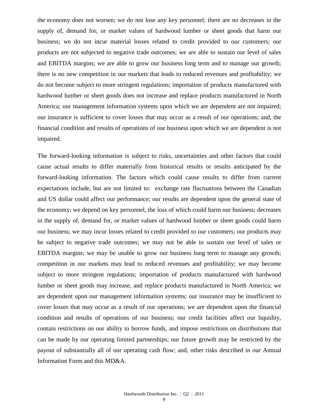the economy does not worsen; we do not lose any key personnel; there are no decreases in the supply of, demand for, or market values of hardwood lumber or sheet goods that harm our business; we do not incur material losses related to credit provided to our customers; our products are not subjected to negative trade outcomes; we are able to sustain our level of sales and EBITDA margins; we are able to grow our business long term and to manage our growth; there is no new competition in our markets that leads to reduced revenues and profitability; we do not become subject to more stringent regulations; importation of products manufactured with hardwood lumber or sheet goods does not increase and replace products manufactured in North America; our management information systems upon which we are dependent are not impaired; our insurance is sufficient to cover losses that may occur as a result of our operations; and, the financial condition and results of operations of our business upon which we are dependent is not impaired.

The forward-looking information is subject to risks, uncertainties and other factors that could cause actual results to differ materially from historical results or results anticipated by the forward-looking information. The factors which could cause results to differ from current expectations include, but are not limited to: exchange rate fluctuations between the Canadian and US dollar could affect our performance; our results are dependent upon the general state of the economy; we depend on key personnel, the loss of which could harm our business; decreases in the supply of, demand for, or market values of hardwood lumber or sheet goods could harm our business; we may incur losses related to credit provided to our customers; our products may be subject to negative trade outcomes; we may not be able to sustain our level of sales or EBITDA margins; we may be unable to grow our business long term to manage any growth; competition in our markets may lead to reduced revenues and profitability; we may become subject to more stringent regulations; importation of products manufactured with hardwood lumber or sheet goods may increase, and replace products manufactured in North America; we are dependent upon our management information systems; our insurance may be insufficient to cover losses that may occur as a result of our operations; we are dependent upon the financial condition and results of operations of our business; our credit facilities affect our liquidity, contain restrictions on our ability to borrow funds, and impose restrictions on distributions that can be made by our operating limited partnerships; our future growth may be restricted by the payout of substantially all of our operating cash flow; and, other risks described in our Annual Information Form and this MD&A.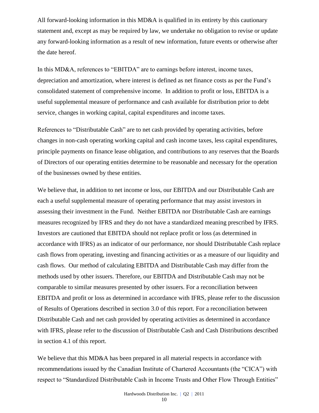All forward-looking information in this MD&A is qualified in its entirety by this cautionary statement and, except as may be required by law, we undertake no obligation to revise or update any forward-looking information as a result of new information, future events or otherwise after the date hereof.

In this MD&A, references to "EBITDA" are to earnings before interest, income taxes, depreciation and amortization, where interest is defined as net finance costs as per the Fund's consolidated statement of comprehensive income. In addition to profit or loss, EBITDA is a useful supplemental measure of performance and cash available for distribution prior to debt service, changes in working capital, capital expenditures and income taxes.

References to "Distributable Cash" are to net cash provided by operating activities, before changes in non-cash operating working capital and cash income taxes, less capital expenditures, principle payments on finance lease obligation, and contributions to any reserves that the Boards of Directors of our operating entities determine to be reasonable and necessary for the operation of the businesses owned by these entities.

We believe that, in addition to net income or loss, our EBITDA and our Distributable Cash are each a useful supplemental measure of operating performance that may assist investors in assessing their investment in the Fund. Neither EBITDA nor Distributable Cash are earnings measures recognized by IFRS and they do not have a standardized meaning prescribed by IFRS. Investors are cautioned that EBITDA should not replace profit or loss (as determined in accordance with IFRS) as an indicator of our performance, nor should Distributable Cash replace cash flows from operating, investing and financing activities or as a measure of our liquidity and cash flows. Our method of calculating EBITDA and Distributable Cash may differ from the methods used by other issuers. Therefore, our EBITDA and Distributable Cash may not be comparable to similar measures presented by other issuers. For a reconciliation between EBITDA and profit or loss as determined in accordance with IFRS, please refer to the discussion of Results of Operations described in section 3.0 of this report. For a reconciliation between Distributable Cash and net cash provided by operating activities as determined in accordance with IFRS, please refer to the discussion of Distributable Cash and Cash Distributions described in section 4.1 of this report.

We believe that this MD&A has been prepared in all material respects in accordance with recommendations issued by the Canadian Institute of Chartered Accountants (the "CICA") with respect to "Standardized Distributable Cash in Income Trusts and Other Flow Through Entities"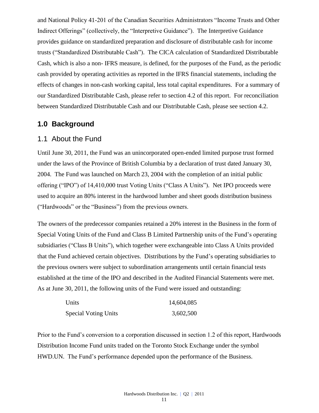and National Policy 41-201 of the Canadian Securities Administrators "Income Trusts and Other Indirect Offerings" (collectively, the "Interpretive Guidance"). The Interpretive Guidance provides guidance on standardized preparation and disclosure of distributable cash for income trusts ("Standardized Distributable Cash"). The CICA calculation of Standardized Distributable Cash, which is also a non- IFRS measure, is defined, for the purposes of the Fund, as the periodic cash provided by operating activities as reported in the IFRS financial statements, including the effects of changes in non-cash working capital, less total capital expenditures. For a summary of our Standardized Distributable Cash, please refer to section 4.2 of this report. For reconciliation between Standardized Distributable Cash and our Distributable Cash, please see section 4.2.

### **1.0 Background**

### 1.1 About the Fund

Until June 30, 2011, the Fund was an unincorporated open-ended limited purpose trust formed under the laws of the Province of British Columbia by a declaration of trust dated January 30, 2004. The Fund was launched on March 23, 2004 with the completion of an initial public offering ("IPO") of 14,410,000 trust Voting Units ("Class A Units"). Net IPO proceeds were used to acquire an 80% interest in the hardwood lumber and sheet goods distribution business ("Hardwoods" or the "Business") from the previous owners.

The owners of the predecessor companies retained a 20% interest in the Business in the form of Special Voting Units of the Fund and Class B Limited Partnership units of the Fund's operating subsidiaries ("Class B Units"), which together were exchangeable into Class A Units provided that the Fund achieved certain objectives. Distributions by the Fund's operating subsidiaries to the previous owners were subject to subordination arrangements until certain financial tests established at the time of the IPO and described in the Audited Financial Statements were met. As at June 30, 2011, the following units of the Fund were issued and outstanding:

| Units                       | 14,604,085 |
|-----------------------------|------------|
| <b>Special Voting Units</b> | 3,602,500  |

Prior to the Fund's conversion to a corporation discussed in section 1.2 of this report, Hardwoods Distribution Income Fund units traded on the Toronto Stock Exchange under the symbol HWD.UN. The Fund's performance depended upon the performance of the Business.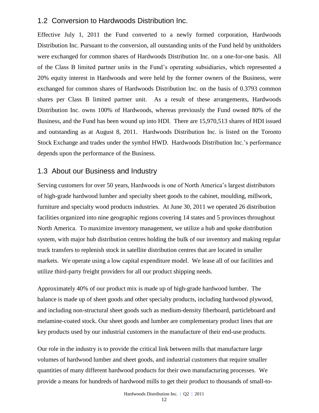### 1.2 Conversion to Hardwoods Distribution Inc.

Effective July 1, 2011 the Fund converted to a newly formed corporation, Hardwoods Distribution Inc. Pursuant to the conversion, all outstanding units of the Fund held by unitholders were exchanged for common shares of Hardwoods Distribution Inc. on a one-for-one basis. All of the Class B limited partner units in the Fund's operating subsidiaries, which represented a 20% equity interest in Hardwoods and were held by the former owners of the Business, were exchanged for common shares of Hardwoods Distribution Inc. on the basis of 0.3793 common shares per Class B limited partner unit. As a result of these arrangements, Hardwoods Distribution Inc. owns 100% of Hardwoods, whereas previously the Fund owned 80% of the Business, and the Fund has been wound up into HDI. There are 15,970,513 shares of HDI issued and outstanding as at August 8, 2011. Hardwoods Distribution Inc. is listed on the [Toronto](http://tmx.quotemedia.com/quote.php?qm_symbol=TPK&locale=EN)  [Stock Exchange and trades under the symbol](http://tmx.quotemedia.com/quote.php?qm_symbol=TPK&locale=EN) HWD. Hardwoods Distribution Inc.'s performance depends upon the performance of the Business.

### 1.3 About our Business and Industry

Serving customers for over 50 years, Hardwoods is one of North America's largest distributors of high-grade hardwood lumber and specialty sheet goods to the cabinet, moulding, millwork, furniture and specialty wood products industries. At June 30, 2011 we operated 26 distribution facilities organized into nine geographic regions covering 14 states and 5 provinces throughout North America. To maximize inventory management, we utilize a hub and spoke distribution system, with major hub distribution centres holding the bulk of our inventory and making regular truck transfers to replenish stock in satellite distribution centres that are located in smaller markets. We operate using a low capital expenditure model. We lease all of our facilities and utilize third-party freight providers for all our product shipping needs.

Approximately 40% of our product mix is made up of high-grade hardwood lumber. The balance is made up of sheet goods and other specialty products, including hardwood plywood, and including non-structural sheet goods such as medium-density fiberboard, particleboard and melamine-coated stock. Our sheet goods and lumber are complementary product lines that are key products used by our industrial customers in the manufacture of their end-use products.

Our role in the industry is to provide the critical link between mills that manufacture large volumes of hardwood lumber and sheet goods, and industrial customers that require smaller quantities of many different hardwood products for their own manufacturing processes. We provide a means for hundreds of hardwood mills to get their product to thousands of small-to-

12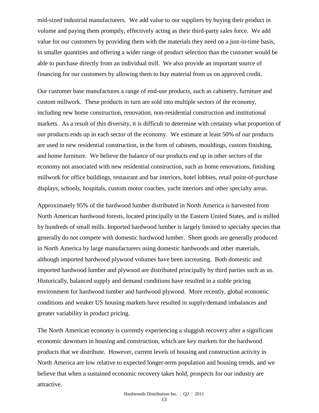mid-sized industrial manufacturers. We add value to our suppliers by buying their product in volume and paying them promptly, effectively acting as their third-party sales force. We add value for our customers by providing them with the materials they need on a just-in-time basis, in smaller quantities and offering a wider range of product selection than the customer would be able to purchase directly from an individual mill. We also provide an important source of financing for our customers by allowing them to buy material from us on approved credit.

Our customer base manufactures a range of end-use products, such as cabinetry, furniture and custom millwork. These products in turn are sold into multiple sectors of the economy, including new home construction, renovation, non-residential construction and institutional markets. As a result of this diversity, it is difficult to determine with certainty what proportion of our products ends up in each sector of the economy. We estimate at least 50% of our products are used in new residential construction, in the form of cabinets, mouldings, custom finishing, and home furniture. We believe the balance of our products end up in other sectors of the economy not associated with new residential construction, such as home renovations, finishing millwork for office buildings, restaurant and bar interiors, hotel lobbies, retail point-of-purchase displays, schools, hospitals, custom motor coaches, yacht interiors and other specialty areas.

Approximately 95% of the hardwood lumber distributed in North America is harvested from North American hardwood forests, located principally in the Eastern United States, and is milled by hundreds of small mills. Imported hardwood lumber is largely limited to specialty species that generally do not compete with domestic hardwood lumber. Sheet goods are generally produced in North America by large manufacturers using domestic hardwoods and other materials, although imported hardwood plywood volumes have been increasing. Both domestic and imported hardwood lumber and plywood are distributed principally by third parties such as us. Historically, balanced supply and demand conditions have resulted in a stable pricing environment for hardwood lumber and hardwood plywood. More recently, global economic conditions and weaker US housing markets have resulted in supply/demand imbalances and greater variability in product pricing.

The North American economy is currently experiencing a sluggish recovery after a significant economic downturn in housing and construction, which are key markets for the hardwood products that we distribute. However, current levels of housing and construction activity in North America are low relative to expected longer-term population and housing trends, and we believe that when a sustained economic recovery takes hold, prospects for our industry are attractive.

13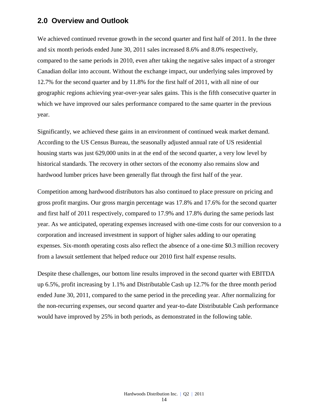### **2.0 Overview and Outlook**

We achieved continued revenue growth in the second quarter and first half of 2011. In the three and six month periods ended June 30, 2011 sales increased 8.6% and 8.0% respectively, compared to the same periods in 2010, even after taking the negative sales impact of a stronger Canadian dollar into account. Without the exchange impact, our underlying sales improved by 12.7% for the second quarter and by 11.8% for the first half of 2011, with all nine of our geographic regions achieving year-over-year sales gains. This is the fifth consecutive quarter in which we have improved our sales performance compared to the same quarter in the previous year.

Significantly, we achieved these gains in an environment of continued weak market demand. According to the US Census Bureau, the seasonally adjusted annual rate of US residential housing starts was just 629,000 units in at the end of the second quarter, a very low level by historical standards. The recovery in other sectors of the economy also remains slow and hardwood lumber prices have been generally flat through the first half of the year.

Competition among hardwood distributors has also continued to place pressure on pricing and gross profit margins. Our gross margin percentage was 17.8% and 17.6% for the second quarter and first half of 2011 respectively, compared to 17.9% and 17.8% during the same periods last year. As we anticipated, operating expenses increased with one-time costs for our conversion to a corporation and increased investment in support of higher sales adding to our operating expenses. Six-month operating costs also reflect the absence of a one-time \$0.3 million recovery from a lawsuit settlement that helped reduce our 2010 first half expense results.

Despite these challenges, our bottom line results improved in the second quarter with EBITDA up 6.5%, profit increasing by 1.1% and Distributable Cash up 12.7% for the three month period ended June 30, 2011, compared to the same period in the preceding year. After normalizing for the non-recurring expenses, our second quarter and year-to-date Distributable Cash performance would have improved by 25% in both periods, as demonstrated in the following table.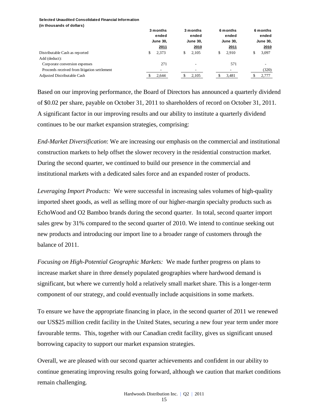#### **Selected Unaudited Consolidated Financial Information (in thousands of dollars)**

|                                              | 3 months<br>ended<br><b>June 30,</b> |       | 3 months<br>ended<br><b>June 30,</b> |       |   | 6 months<br>ended<br><b>June 30,</b> | 6 months<br>ended<br><b>June 30,</b> |
|----------------------------------------------|--------------------------------------|-------|--------------------------------------|-------|---|--------------------------------------|--------------------------------------|
|                                              |                                      | 2011  |                                      | 2010  |   | 2011                                 | 2010                                 |
| Distributable Cash as reported               | S                                    | 2.373 | \$                                   | 2.105 | S | 2.910                                | \$<br>3,097                          |
| Add (deduct):                                |                                      |       |                                      |       |   |                                      |                                      |
| Corporate conversion expenses                |                                      | 271   |                                      |       |   | 571                                  |                                      |
| Proceeds received from litigation settlement |                                      |       |                                      |       |   |                                      | (320)                                |
| Adjusted Distributable Cash                  |                                      | 2,644 |                                      | 2,105 |   | 3,481                                | 2,777                                |

Based on our improving performance, the Board of Directors has announced a quarterly dividend of \$0.02 per share, payable on October 31, 2011 to shareholders of record on October 31, 2011. A significant factor in our improving results and our ability to institute a quarterly dividend continues to be our market expansion strategies, comprising:

*End-Market Diversification*: We are increasing our emphasis on the commercial and institutional construction markets to help offset the slower recovery in the residential construction market. During the second quarter, we continued to build our presence in the commercial and institutional markets with a dedicated sales force and an expanded roster of products.

*Leveraging Import Products:* We were successful in increasing sales volumes of high-quality imported sheet goods, as well as selling more of our higher-margin specialty products such as EchoWood and O2 Bamboo brands during the second quarter. In total, second quarter import sales grew by 31% compared to the second quarter of 2010. We intend to continue seeking out new products and introducing our import line to a broader range of customers through the balance of 2011.

*Focusing on High-Potential Geographic Markets:* We made further progress on plans to increase market share in three densely populated geographies where hardwood demand is significant, but where we currently hold a relatively small market share. This is a longer-term component of our strategy, and could eventually include acquisitions in some markets.

To ensure we have the appropriate financing in place, in the second quarter of 2011 we renewed our US\$25 million credit facility in the United States, securing a new four year term under more favourable terms. This, together with our Canadian credit facility, gives us significant unused borrowing capacity to support our market expansion strategies.

Overall, we are pleased with our second quarter achievements and confident in our ability to continue generating improving results going forward, although we caution that market conditions remain challenging.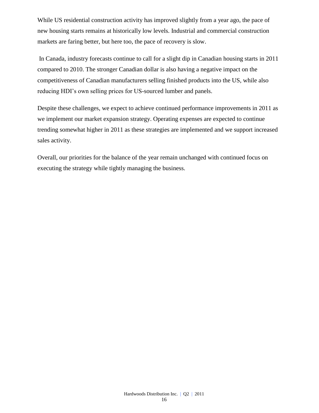While US residential construction activity has improved slightly from a year ago, the pace of new housing starts remains at historically low levels. Industrial and commercial construction markets are faring better, but here too, the pace of recovery is slow.

In Canada, industry forecasts continue to call for a slight dip in Canadian housing starts in 2011 compared to 2010. The stronger Canadian dollar is also having a negative impact on the competitiveness of Canadian manufacturers selling finished products into the US, while also reducing HDI's own selling prices for US-sourced lumber and panels.

Despite these challenges, we expect to achieve continued performance improvements in 2011 as we implement our market expansion strategy. Operating expenses are expected to continue trending somewhat higher in 2011 as these strategies are implemented and we support increased sales activity.

Overall, our priorities for the balance of the year remain unchanged with continued focus on executing the strategy while tightly managing the business.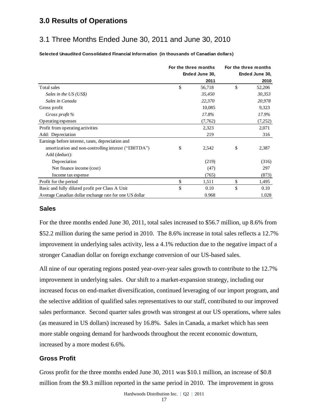### **3.0 Results of Operations**

## 3.1 Three Months Ended June 30, 2011 and June 30, 2010

**Selected Unaudited Consolidated Financial Information (in thousands of Canadian dollars)**

|                                                         | For the three months | For the three months |                |  |
|---------------------------------------------------------|----------------------|----------------------|----------------|--|
|                                                         | Ended June 30,       |                      | Ended June 30, |  |
|                                                         | 2011                 |                      | 2010           |  |
| Total sales                                             | \$<br>56,718         | \$                   | 52,206         |  |
| Sales in the US (US\$)                                  | 35,450               |                      | 30,353         |  |
| Sales in Canada                                         | 22,370               |                      | 20,978         |  |
| Gross profit                                            | 10,085               |                      | 9,323          |  |
| Gross profit %                                          | 17.8%                |                      | 17.9%          |  |
| Operating expenses                                      | (7,762)              |                      | (7,252)        |  |
| Profit from operating activities                        | 2,323                |                      | 2,071          |  |
| Add: Depreciation                                       | 219                  |                      | 316            |  |
| Earnings before interest, taxes, depreciation and       |                      |                      |                |  |
| amortization and non-controlling interest ("EBITDA")    | \$<br>2,542          | \$                   | 2,387          |  |
| Add (deduct):                                           |                      |                      |                |  |
| Depreciation                                            | (219)                |                      | (316)          |  |
| Net finance income (cost)                               | (47)                 |                      | 297            |  |
| Income tax expense                                      | (765)                |                      | (873)          |  |
| Profit for the period                                   | \$<br>1,511          | \$                   | 1,495          |  |
| Basic and fully diluted profit per Class A Unit         | \$<br>0.10           | \$                   | 0.10           |  |
| Average Canadian dollar exchange rate for one US dollar | 0.968                |                      | 1.028          |  |

### **Sales**

For the three months ended June 30, 2011, total sales increased to \$56.7 million, up 8.6% from \$52.2 million during the same period in 2010. The 8.6% increase in total sales reflects a 12.7% improvement in underlying sales activity, less a 4.1% reduction due to the negative impact of a stronger Canadian dollar on foreign exchange conversion of our US-based sales.

All nine of our operating regions posted year-over-year sales growth to contribute to the 12.7% improvement in underlying sales. Our shift to a market-expansion strategy, including our increased focus on end-market diversification, continued leveraging of our import program, and the selective addition of qualified sales representatives to our staff, contributed to our improved sales performance. Second quarter sales growth was strongest at our US operations, where sales (as measured in US dollars) increased by 16.8%. Sales in Canada, a market which has seen more stable ongoing demand for hardwoods throughout the recent economic downturn, increased by a more modest 6.6%.

### **Gross Profit**

Gross profit for the three months ended June 30, 2011 was \$10.1 million, an increase of \$0.8 million from the \$9.3 million reported in the same period in 2010. The improvement in gross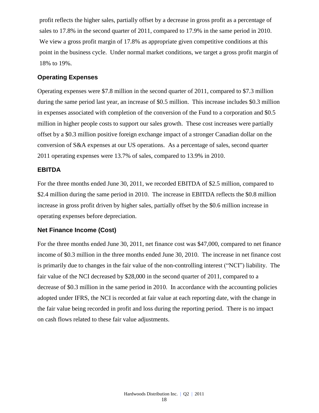profit reflects the higher sales, partially offset by a decrease in gross profit as a percentage of sales to 17.8% in the second quarter of 2011, compared to 17.9% in the same period in 2010. We view a gross profit margin of 17.8% as appropriate given competitive conditions at this point in the business cycle. Under normal market conditions, we target a gross profit margin of 18% to 19%.

### **Operating Expenses**

Operating expenses were \$7.8 million in the second quarter of 2011, compared to \$7.3 million during the same period last year, an increase of \$0.5 million. This increase includes \$0.3 million in expenses associated with completion of the conversion of the Fund to a corporation and \$0.5 million in higher people costs to support our sales growth. These cost increases were partially offset by a \$0.3 million positive foreign exchange impact of a stronger Canadian dollar on the conversion of S&A expenses at our US operations. As a percentage of sales, second quarter 2011 operating expenses were 13.7% of sales, compared to 13.9% in 2010.

### **EBITDA**

For the three months ended June 30, 2011, we recorded EBITDA of \$2.5 million, compared to \$2.4 million during the same period in 2010. The increase in EBITDA reflects the \$0.8 million increase in gross profit driven by higher sales, partially offset by the \$0.6 million increase in operating expenses before depreciation.

### **Net Finance Income (Cost)**

For the three months ended June 30, 2011, net finance cost was \$47,000, compared to net finance income of \$0.3 million in the three months ended June 30, 2010. The increase in net finance cost is primarily due to changes in the fair value of the non-controlling interest ("NCI") liability. The fair value of the NCI decreased by \$28,000 in the second quarter of 2011, compared to a decrease of \$0.3 million in the same period in 2010. In accordance with the accounting policies adopted under IFRS, the NCI is recorded at fair value at each reporting date, with the change in the fair value being recorded in profit and loss during the reporting period. There is no impact on cash flows related to these fair value adjustments.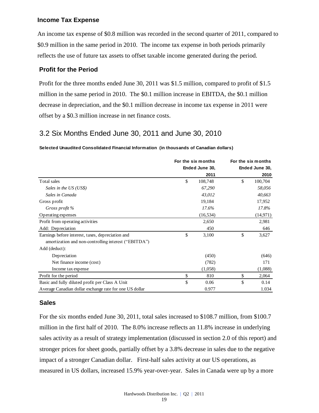### **Income Tax Expense**

An income tax expense of \$0.8 million was recorded in the second quarter of 2011, compared to \$0.9 million in the same period in 2010. The income tax expense in both periods primarily reflects the use of future tax assets to offset taxable income generated during the period.

### **Profit for the Period**

Profit for the three months ended June 30, 2011 was \$1.5 million, compared to profit of \$1.5 million in the same period in 2010. The \$0.1 million increase in EBITDA, the \$0.1 million decrease in depreciation, and the \$0.1 million decrease in income tax expense in 2011 were offset by a \$0.3 million increase in net finance costs.

### 3.2 Six Months Ended June 30, 2011 and June 30, 2010

#### **Selected Unaudited Consolidated Financial Information (in thousands of Canadian dollars)**

|                                                         | For the six months | For the six months |                |  |
|---------------------------------------------------------|--------------------|--------------------|----------------|--|
|                                                         | Ended June 30,     |                    | Ended June 30, |  |
|                                                         | 2011               |                    | 2010           |  |
| Total sales                                             | \$<br>108,748      | \$                 | 100,704        |  |
| Sales in the US (US\$)                                  | 67,290             |                    | 58,056         |  |
| Sales in Canada                                         | 43,012             |                    | 40,663         |  |
| Gross profit                                            | 19,184             |                    | 17,952         |  |
| Gross profit %                                          | 17.6%              |                    | 17.8%          |  |
| Operating expenses                                      | (16, 534)          |                    | (14, 971)      |  |
| Profit from operating activities                        | 2,650              |                    | 2,981          |  |
| Add: Depreciation                                       | 450                |                    | 646            |  |
| Earnings before interest, taxes, depreciation and       | \$<br>3,100        | \$                 | 3,627          |  |
| amortization and non-controlling interest ("EBITDA")    |                    |                    |                |  |
| Add (deduct):                                           |                    |                    |                |  |
| Depreciation                                            | (450)              |                    | (646)          |  |
| Net finance income (cost)                               | (782)              |                    | 171            |  |
| Income tax expense                                      | (1,058)            |                    | (1,088)        |  |
| Profit for the period                                   | \$<br>810          | \$                 | 2,064          |  |
| Basic and fully diluted profit per Class A Unit         | \$<br>0.06         | \$                 | 0.14           |  |
| Average Canadian dollar exchange rate for one US dollar | 0.977              |                    | 1.034          |  |

### **Sales**

For the six months ended June 30, 2011, total sales increased to \$108.7 million, from \$100.7 million in the first half of 2010. The 8.0% increase reflects an 11.8% increase in underlying sales activity as a result of strategy implementation (discussed in section 2.0 of this report) and stronger prices for sheet goods, partially offset by a 3.8% decrease in sales due to the negative impact of a stronger Canadian dollar. First-half sales activity at our US operations, as measured in US dollars, increased 15.9% year-over-year. Sales in Canada were up by a more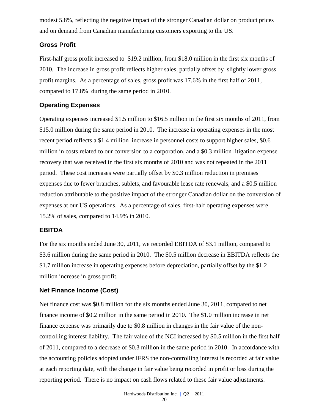modest 5.8%, reflecting the negative impact of the stronger Canadian dollar on product prices and on demand from Canadian manufacturing customers exporting to the US.

### **Gross Profit**

First-half gross profit increased to \$19.2 million, from \$18.0 million in the first six months of 2010. The increase in gross profit reflects higher sales, partially offset by slightly lower gross profit margins. As a percentage of sales, gross profit was 17.6% in the first half of 2011, compared to 17.8% during the same period in 2010.

### **Operating Expenses**

Operating expenses increased \$1.5 million to \$16.5 million in the first six months of 2011, from \$15.0 million during the same period in 2010. The increase in operating expenses in the most recent period reflects a \$1.4 million increase in personnel costs to support higher sales, \$0.6 million in costs related to our conversion to a corporation, and a \$0.3 million litigation expense recovery that was received in the first six months of 2010 and was not repeated in the 2011 period. These cost increases were partially offset by \$0.3 million reduction in premises expenses due to fewer branches, sublets, and favourable lease rate renewals, and a \$0.5 million reduction attributable to the positive impact of the stronger Canadian dollar on the conversion of expenses at our US operations. As a percentage of sales, first-half operating expenses were 15.2% of sales, compared to 14.9% in 2010.

### **EBITDA**

For the six months ended June 30, 2011, we recorded EBITDA of \$3.1 million, compared to \$3.6 million during the same period in 2010. The \$0.5 million decrease in EBITDA reflects the \$1.7 million increase in operating expenses before depreciation, partially offset by the \$1.2 million increase in gross profit.

### **Net Finance Income (Cost)**

Net finance cost was \$0.8 million for the six months ended June 30, 2011, compared to net finance income of \$0.2 million in the same period in 2010. The \$1.0 million increase in net finance expense was primarily due to \$0.8 million in changes in the fair value of the noncontrolling interest liability. The fair value of the NCI increased by \$0.5 million in the first half of 2011, compared to a decrease of \$0.3 million in the same period in 2010. In accordance with the accounting policies adopted under IFRS the non-controlling interest is recorded at fair value at each reporting date, with the change in fair value being recorded in profit or loss during the reporting period. There is no impact on cash flows related to these fair value adjustments.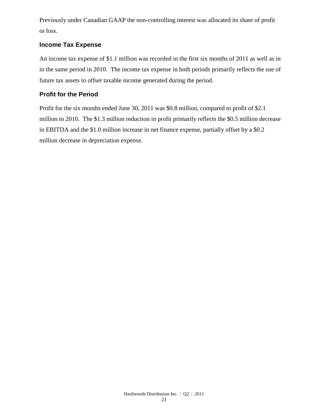Previously under Canadian GAAP the non-controlling interest was allocated its share of profit or loss.

### **Income Tax Expense**

An income tax expense of \$1.1 million was recorded in the first six months of 2011 as well as in in the same period in 2010. The income tax expense in both periods primarily reflects the use of future tax assets to offset taxable income generated during the period.

### **Profit for the Period**

Profit for the six months ended June 30, 2011 was \$0.8 million, compared to profit of \$2.1 million in 2010. The \$1.3 million reduction in profit primarily reflects the \$0.5 million decrease in EBITDA and the \$1.0 million increase in net finance expense, partially offset by a \$0.2 million decrease in depreciation expense.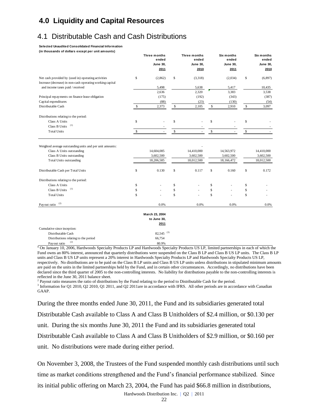## **4.0 Liquidity and Capital Resources**

## 4.1 Distributable Cash and Cash Distributions

**Selected Unaudited Consolidated Financial Information** 

**(in thousands of dollars except per unit amounts)**

|                                                                                                                  |               | Three months<br>ended<br><b>June 30,</b><br>2011 | <b>Three months</b><br>ended<br><b>June 30.</b><br>2010 | Six months<br>ended<br><b>June 30,</b><br>2011 | Six months<br>ended<br><b>June 30,</b><br>2010 |
|------------------------------------------------------------------------------------------------------------------|---------------|--------------------------------------------------|---------------------------------------------------------|------------------------------------------------|------------------------------------------------|
| Net cash provided by (used in) operating activities<br>Increase (decrease) in non-cash operating working capital | <sup>\$</sup> | (2,862)                                          | \$<br>(3,318)                                           | (2,034)                                        | \$<br>(6, 897)                                 |
| and income taxes paid / received                                                                                 |               | 5,498                                            | 5,638                                                   | 5,417                                          | 10,435                                         |
|                                                                                                                  |               | 2,636                                            | 2,320                                                   | 3,383                                          | 3,538                                          |
| Principal repayments on finance lease obligation                                                                 |               | (175)                                            | (192)                                                   | (343)                                          | (387)                                          |
| Capital expenditures                                                                                             |               | (88)                                             | (23)                                                    | (130)                                          | (54)                                           |
| Distributable Cash                                                                                               | \$            | 2,373                                            | \$<br>2,105                                             | \$<br>2,910                                    | \$<br>3,097                                    |
| Distributions relating to the period:                                                                            |               |                                                  |                                                         |                                                |                                                |
| Class A Units                                                                                                    | $\mathsf{\$}$ |                                                  | \$                                                      | \$                                             | \$                                             |
| (1)<br>Class B Units                                                                                             |               |                                                  |                                                         |                                                |                                                |
| <b>Total Units</b>                                                                                               | S             |                                                  | \$                                                      | \$                                             | \$                                             |
| Weighted average outstanding units and per unit amounts:                                                         |               |                                                  |                                                         |                                                |                                                |
| Class A Units outstanding                                                                                        |               | 14,604,085                                       | 14,410,000                                              | 14,563,972                                     | 14,410,000                                     |
| Class B Units outstanding                                                                                        |               | 3,602,500                                        | 3,602,500                                               | 3,602,500                                      | 3,602,500                                      |
| <b>Total Units outstanding</b>                                                                                   |               | 18,206,585                                       | 18,012,500                                              | 18,166,472                                     | 18,012,500                                     |
| Distributable Cash per Total Units                                                                               | \$            | 0.130                                            | \$<br>0.117                                             | \$<br>0.160                                    | \$<br>0.172                                    |
| Distributions relating to the period:                                                                            |               |                                                  |                                                         |                                                |                                                |
| Class A Units                                                                                                    | \$            |                                                  | \$                                                      | \$                                             | \$                                             |
| (1)<br>Class B Units                                                                                             | \$            |                                                  | \$                                                      | \$                                             | \$                                             |
| <b>Total Units</b>                                                                                               | \$            |                                                  | \$                                                      | \$                                             | \$                                             |
| (2)<br>Payout ratio                                                                                              |               | 0.0%                                             | 0.0%                                                    | 0.0%                                           | 0.0%                                           |

**March 23, 2004 to June 30, 2011** Cumulative since inception: Distributable Cash 82,545 (3) Distributions relating to the period 66,754

**<sup>1</sup>** On January 10, 2006, Hardwoods Specialty Products LP and Hardwoods Specialty Products US LP, limited partnerships in each of which the Fund owns an 80% interest, announced that quarterly distributions were suspended on the Class B LP and Class B US LP units. The Class B LP units and Class B US LP units represent a 20% interest in Hardwoods Specialty Products LP and Hardwoods Specialty Products US LP, respectively. No distributions are to be paid on the Class B LP units and Class B US LP units unless distributions in stipulated minimum amounts are paid on the units in the limited partnerships held by the Fund, and in certain other circumstances. Accordingly, no distributions have been declared since the third quarter of 2005 to the non-controlling interests. No liability for distributions payable to the non-controlling interests is reflected in the June 30, 2011 balance sheet. Payout ratio  $^{(2)}$  80.9%

<sup>2</sup> Payout ratio measures the ratio of distributions by the Fund relating to the period to Distributable Cash for the period.

<sup>3</sup> Information for Q1 2010, Q2 2010, Q1 2011, and Q2 2011are in accordance with IFRS. All other periods are in accordance with Canadian GAAP.

During the three months ended June 30, 2011, the Fund and its subsidiaries generated total Distributable Cash available to Class A and Class B Unitholders of \$2.4 million, or \$0.130 per unit. During the six months June 30, 2011 the Fund and its subsidiaries generated total Distributable Cash available to Class A and Class B Unitholders of \$2.9 million, or \$0.160 per unit. No distributions were made during either period.

On November 3, 2008, the Trustees of the Fund suspended monthly cash distributions until such time as market conditions strengthened and the Fund's financial performance stabilized. Since its initial public offering on March 23, 2004, the Fund has paid \$66.8 million in distributions,

Hardwoods Distribution Inc. | Q2 | 2011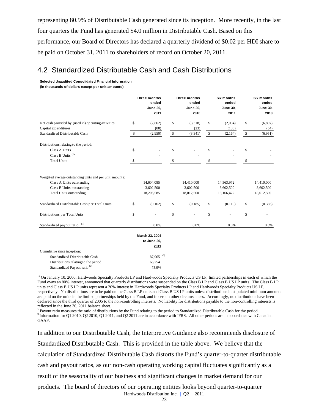representing 80.9% of Distributable Cash generated since its inception. More recently, in the last four quarters the Fund has generated \$4.0 million in Distributable Cash. Based on this performance, our Board of Directors has declared a quarterly dividend of \$0.02 per HDI share to be paid on October 31, 2011 to shareholders of record on October 20, 2011.

### 4.2 Standardized Distributable Cash and Cash Distributions

**Selected Unaudited Consolidated Financial Information (in thousands of dollars except per unit amounts)**

|                                                                                                                                                      |              | <b>Three months</b><br>ended<br><b>June 30,</b><br>2011 | Three months<br>ended<br><b>June 30,</b><br>2010 |             | Six months<br>ended<br><b>June 30,</b><br>2011 |              | Six months<br>ended<br><b>June 30,</b><br>2010 |
|------------------------------------------------------------------------------------------------------------------------------------------------------|--------------|---------------------------------------------------------|--------------------------------------------------|-------------|------------------------------------------------|--------------|------------------------------------------------|
| Net cash provided by (used in) operating activities                                                                                                  | \$           | (2,862)                                                 | \$<br>(3,318)                                    | \$          | (2,034)                                        | \$           | (6, 897)                                       |
| Capital expenditures                                                                                                                                 |              | (88)                                                    | (23)                                             |             | (130)                                          |              | (54)                                           |
| Standardized Distributable Cash                                                                                                                      | \$           | (2,950)                                                 | \$<br>(3, 341)                                   | \$          | (2,164)                                        | \$           | (6,951)                                        |
| Distributions relating to the period:                                                                                                                |              |                                                         |                                                  |             |                                                |              |                                                |
| Class A Units                                                                                                                                        | \$           |                                                         | \$                                               | \$          |                                                | \$           |                                                |
| Class B Units <sup>(1)</sup>                                                                                                                         |              |                                                         |                                                  |             |                                                |              |                                                |
| <b>Total Units</b>                                                                                                                                   | $\mathbb{S}$ |                                                         | \$                                               | $\mathbb S$ |                                                | $\mathbb{S}$ |                                                |
| Weighted average outstanding units and per unit amounts:<br>Class A Units outstanding<br>Class B Units outstanding<br><b>Total Units outstanding</b> |              | 14,604,085<br>3,602,500<br>18,206,585                   | 14,410,000<br>3,602,500<br>18,012,500            |             | 14,563,972<br>3,602,500<br>18,166,472          |              | 14,410,000<br>3,602,500<br>18,012,500          |
| Standardized Distributable Cash per Total Units                                                                                                      | \$           | (0.162)                                                 | \$<br>(0.185)                                    | \$          | (0.119)                                        | \$           | (0.386)                                        |
| Distributions per Total Units                                                                                                                        | \$           |                                                         | \$                                               | \$          |                                                | \$           |                                                |
| (2)<br>Standardized payout ratio                                                                                                                     |              | 0.0%                                                    | 0.0%                                             |             | 0.0%                                           |              | 0.0%                                           |
|                                                                                                                                                      |              | March 23, 2004<br>to June 30,<br>2011                   |                                                  |             |                                                |              |                                                |
| Cumulative since inception:                                                                                                                          |              |                                                         |                                                  |             |                                                |              |                                                |
| Standardized Distributable Cash                                                                                                                      |              | $87,965$ <sup>(3)</sup>                                 |                                                  |             |                                                |              |                                                |
| Distributions relating to the period                                                                                                                 |              | 66,754                                                  |                                                  |             |                                                |              |                                                |
| Standardized Payout ratio <sup>(2)</sup>                                                                                                             |              | 75.9%                                                   |                                                  |             |                                                |              |                                                |

**<sup>1</sup>** On January 10, 2006, Hardwoods Specialty Products LP and Hardwoods Specialty Products US LP, limited partnerships in each of which the Fund owns an 80% interest, announced that quarterly distributions were suspended on the Class B LP and Class B US LP units. The Class B LP units and Class B US LP units represent a 20% interest in Hardwoods Specialty Products LP and Hardwoods Specialty Products US LP, respectively. No distributions are to be paid on the Class B LP units and Class B US LP units unless distributions in stipulated minimum amounts are paid on the units in the limited partnerships held by the Fund, and in certain other circumstances. Accordingly, no distributions have been declared since the third quarter of 2005 to the non-controlling interests. No liability for distributions payable to the non-controlling interests is reflected in the June 30, 2011 balance sheet.

2 Payout ratio measures the ratio of distributions by the Fund relating to the period to Standardized Distributable Cash for the period. <sup>3</sup> Information for Q1 2010, Q2 2010, Q1 2011, and Q2 2011 are in accordance with IFRS. All other periods are in accordance with Canadian GAAP.

Hardwoods Distribution Inc. | Q2 | 2011 In addition to our Distributable Cash, the Interpretive Guidance also recommends disclosure of Standardized Distributable Cash. This is provided in the table above. We believe that the calculation of Standardized Distributable Cash distorts the Fund's quarter-to-quarter distributable cash and payout ratios, as our non-cash operating working capital fluctuates significantly as a result of the seasonality of our business and significant changes in market demand for our products. The board of directors of our operating entities looks beyond quarter-to-quarter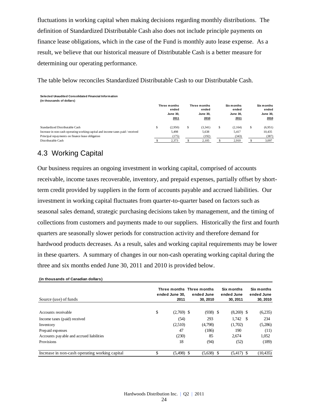fluctuations in working capital when making decisions regarding monthly distributions. The definition of Standardized Distributable Cash also does not include principle payments on finance lease obligations, which in the case of the Fund is monthly auto lease expense. As a result, we believe that our historical measure of Distributable Cash is a better measure for determining our operating performance.

The table below reconciles Standardized Distributable Cash to our Distributable Cash.

| Selected Unaudited Consolidated Financial Information<br>(in thousands of dollars)                                                                                     |   |                                                  |                                                  |                                                |   |                                                |
|------------------------------------------------------------------------------------------------------------------------------------------------------------------------|---|--------------------------------------------------|--------------------------------------------------|------------------------------------------------|---|------------------------------------------------|
|                                                                                                                                                                        |   | Three months<br>ended<br><b>June 30.</b><br>2011 | Three months<br>ended<br><b>June 30.</b><br>2010 | Six months<br>ended<br><b>June 30.</b><br>2011 |   | Six months<br>ended<br><b>June 30.</b><br>2010 |
| Standardized Distributable Cash<br>Increase in non-cash operating working capital and income taxes paid / received<br>Principal repayments on finance lease obligation | S | (2.950)<br>5,498<br>(175)                        | \$<br>(3,341)<br>5,638<br>(192)                  | \$<br>(2,164)<br>5.417<br>(343)                | S | (6,951)<br>10.435<br>(387)                     |
| Distributable Cash                                                                                                                                                     |   | 2,373                                            | 2,105                                            | 2,910                                          |   | 3,097                                          |

## 4.3 Working Capital

Our business requires an ongoing investment in working capital, comprised of accounts receivable, income taxes recoverable, inventory, and prepaid expenses, partially offset by shortterm credit provided by suppliers in the form of accounts payable and accrued liabilities. Our investment in working capital fluctuates from quarter-to-quarter based on factors such as seasonal sales demand, strategic purchasing decisions taken by management, and the timing of collections from customers and payments made to our suppliers. Historically the first and fourth quarters are seasonally slower periods for construction activity and therefore demand for hardwood products decreases. As a result, sales and working capital requirements may be lower in these quarters. A summary of changes in our non-cash operating working capital during the three and six months ended June 30, 2011 and 2010 is provided below.

| (in thousands of Canadian dollars)             |                        |                                                     |                                      |                                      |
|------------------------------------------------|------------------------|-----------------------------------------------------|--------------------------------------|--------------------------------------|
| Source (use) of funds                          | ended June 30.<br>2011 | Three months Three months<br>ended June<br>30, 2010 | Six months<br>ended June<br>30, 2011 | Six months<br>ended June<br>30, 2010 |
|                                                |                        |                                                     |                                      |                                      |
| Accounts receivable                            | \$<br>$(2,769)$ \$     | $(938)$ \$                                          | $(8,269)$ \$                         | (6,235)                              |
| Income taxes (paid) received                   | (54)                   | 293                                                 | $1.742 \quad$ \$                     | 234                                  |
| Inventory                                      | (2,510)                | (4,798)                                             | (1,702)                              | (5,286)                              |
| Prepaid expenses                               | 47                     | (186)                                               | 190                                  | (11)                                 |
| Accounts payable and accrued liabilities       | (230)                  | 85                                                  | 2.674                                | 1,052                                |
| Provisions                                     | 18                     | (94)                                                | (52)                                 | (189)                                |
| Increase in non-cash operating working capital | \$<br>$(5,498)$ \$     | $(5,638)$ \$                                        | $(5,417)$ \$                         | (10, 435)                            |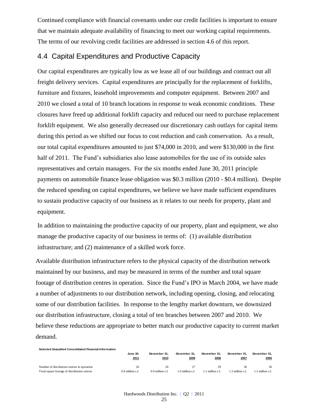Continued compliance with financial covenants under our credit facilities is important to ensure that we maintain adequate availability of financing to meet our working capital requirements. The terms of our revolving credit facilities are addressed in section 4.6 of this report.

### 4.4 Capital Expenditures and Productive Capacity

Our capital expenditures are typically low as we lease all of our buildings and contract out all freight delivery services. Capital expenditures are principally for the replacement of forklifts, furniture and fixtures, leasehold improvements and computer equipment. Between 2007 and 2010 we closed a total of 10 branch locations in response to weak economic conditions. These closures have freed up additional forklift capacity and reduced our need to purchase replacement forklift equipment. We also generally decreased our discretionary cash outlays for capital items during this period as we shifted our focus to cost reduction and cash conservation. As a result, our total capital expenditures amounted to just \$74,000 in 2010, and were \$130,000 in the first half of 2011. The Fund's subsidiaries also lease automobiles for the use of its outside sales representatives and certain managers. For the six months ended June 30, 2011 principle payments on automobile finance lease obligation was \$0.3 million (2010 - \$0.4 million). Despite the reduced spending on capital expenditures, we believe we have made sufficient expenditures to sustain productive capacity of our business as it relates to our needs for property, plant and equipment.

In addition to maintaining the productive capacity of our property, plant and equipment, we also manage the productive capacity of our business in terms of: (1) available distribution infrastructure; and (2) maintenance of a skilled work force.

Available distribution infrastructure refers to the physical capacity of the distribution network maintained by our business, and may be measured in terms of the number and total square footage of distribution centres in operation. Since the Fund's IPO in March 2004, we have made a number of adjustments to our distribution network, including opening, closing, and relocating some of our distribution facilities. In response to the lengthy market downturn, we downsized our distribution infrastructure, closing a total of ten branches between 2007 and 2010. We believe these reductions are appropriate to better match our productive capacity to current market demand.

| Selected Unaudited Consolidated Financial Information |                    |                    |                    |              |                |                  |
|-------------------------------------------------------|--------------------|--------------------|--------------------|--------------|----------------|------------------|
|                                                       | <b>June 30.</b>    | December 31.       | December 31.       | December 31. | December 31.   | December 31.     |
|                                                       | 2011               | 2010               | 2009               | 2008         | 2007           | 2006             |
| Number of distribution centres in operation           | 26                 | 26                 | 27                 | 29           | 36             | 36               |
| Total square footage of distribution centres          | $0.9$ million s.f. | $0.9$ million s.f. | $1.0$ million s.f. | million s.f  | .3 million s.f | 1.3 million s.f. |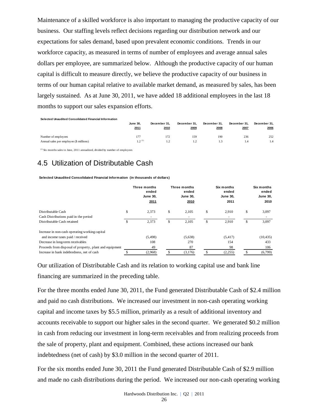Maintenance of a skilled workforce is also important to managing the productive capacity of our business. Our staffing levels reflect decisions regarding our distribution network and our expectations for sales demand, based upon prevalent economic conditions. Trends in our workforce capacity, as measured in terms of number of employees and average annual sales dollars per employee, are summarized below. Although the productive capacity of our human capital is difficult to measure directly, we believe the productive capacity of our business in terms of our human capital relative to available market demand, as measured by sales, has been largely sustained. As at June 30, 2011, we have added 18 additional employees in the last 18 months to support our sales expansion efforts.

|                                                                | <b>June 30.</b><br>2011    | December 31.<br>2010 | December 31.<br>2009 | December 31.<br>2008 | December 31.<br>2007 | December 31.<br>2006 |
|----------------------------------------------------------------|----------------------------|----------------------|----------------------|----------------------|----------------------|----------------------|
| Number of employees<br>Annual sales per employee (\$ millions) | 177<br>$1.2^{\text{}}$ (1) | 172                  | 159<br>$\eta$        | 190                  | 236<br>1.4           | 252                  |
|                                                                |                            |                      |                      |                      |                      |                      |

 $(1)$  Six months sales to June, 2011 annualized, divided by number of employees

## 4.5 Utilization of Distributable Cash

**Selected Unaudited Consolidated Financial Information (in thousands of dollars)**

|                                                         | Three months<br>ended<br><b>June 30,</b><br>2011 | Three months<br>ended<br><b>June 30.</b><br>2010 | Six months<br>ended<br><b>June 30,</b><br>2011 |    | Six months<br>ended<br><b>June 30,</b><br>2010 |
|---------------------------------------------------------|--------------------------------------------------|--------------------------------------------------|------------------------------------------------|----|------------------------------------------------|
| Distributable Cash                                      | \$<br>2,373                                      | \$<br>2,105                                      | \$<br>2,910                                    | \$ | 3,097                                          |
| Cash Distributions paid in the period                   |                                                  |                                                  |                                                |    |                                                |
| Distributable Cash retained                             | \$<br>2,373                                      | \$<br>2,105                                      | \$<br>2,910                                    | S  | 3,097                                          |
| Increase in non-cash operating working capital          |                                                  |                                                  |                                                |    |                                                |
| and income taxes paid / received                        | (5,498)                                          | (5,638)                                          | (5, 417)                                       |    | (10, 435)                                      |
| Decrease in long-term receivables                       | 108                                              | 270                                              | 154                                            |    | 433                                            |
| Proceeds from disposal of property, plant and equipment | 49                                               | 87                                               | 98                                             |    | 106                                            |
| Increase in bank indebtedness, net of cash              | (2,968)                                          | (3,176)                                          | (2,255)                                        |    | (6,799)                                        |

Our utilization of Distributable Cash and its relation to working capital use and bank line financing are summarized in the preceding table.

For the three months ended June 30, 2011, the Fund generated Distributable Cash of \$2.4 million and paid no cash distributions. We increased our investment in non-cash operating working capital and income taxes by \$5.5 million, primarily as a result of additional inventory and accounts receivable to support our higher sales in the second quarter. We generated \$0.2 million in cash from reducing our investment in long-term receivables and from realizing proceeds from the sale of property, plant and equipment. Combined, these actions increased our bank indebtedness (net of cash) by \$3.0 million in the second quarter of 2011. **EXERCT CONSTRAND CONSTRAND MADE NO CASH DISTRIBUTION** THE PERIOD CONSTRAND TO DESCRIPTION OF DISTRIBUTION CONSTRAND THE PERIOD CONSTRAND THE PERIOD CONSULTER THE PERIOD CONSULTER CONSULTER THE PERIOD CONSULTER THE PERIOD

For the six months ended June 30, 2011 the Fund generated Distributable Cash of \$2.9 million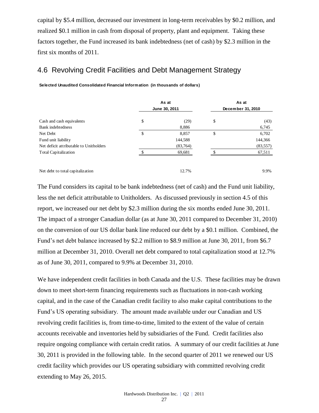capital by \$5.4 million, decreased our investment in long-term receivables by \$0.2 million, and realized \$0.1 million in cash from disposal of property, plant and equipment. Taking these factors together, the Fund increased its bank indebtedness (net of cash) by \$2.3 million in the first six months of 2011.

## 4.6 Revolving Credit Facilities and Debt Management Strategy

|                                         | As at<br>June 30, 2011 | As at<br>December 31, 2010 |           |  |
|-----------------------------------------|------------------------|----------------------------|-----------|--|
| Cash and cash equivalents               | \$<br>(29)             | \$                         | (43)      |  |
| Bank indebtedness                       | 8,886                  |                            | 6,745     |  |
| Net Debt                                | \$<br>8,857            | \$                         | 6,702     |  |
| Fund unit liability                     | 144,588                |                            | 144,366   |  |
| Net deficit attributable to Unitholders | (83,764)               |                            | (83, 557) |  |
| <b>Total Capitalization</b>             | 69,681                 |                            | 67,511    |  |
| Net debt to total capitalization        | 12.7%                  |                            | 9.9%      |  |

The Fund considers its capital to be bank indebtedness (net of cash) and the Fund unit liability, less the net deficit attributable to Unitholders. As discussed previously in section 4.5 of this report, we increased our net debt by \$2.3 million during the six months ended June 30, 2011. The impact of a stronger Canadian dollar (as at June 30, 2011 compared to December 31, 2010) on the conversion of our US dollar bank line reduced our debt by a \$0.1 million. Combined, the Fund's net debt balance increased by \$2.2 million to \$8.9 million at June 30, 2011, from \$6.7 million at December 31, 2010. Overall net debt compared to total capitalization stood at 12.7% as of June 30, 2011, compared to 9.9% at December 31, 2010.

We have independent credit facilities in both Canada and the U.S. These facilities may be drawn down to meet short-term financing requirements such as fluctuations in non-cash working capital, and in the case of the Canadian credit facility to also make capital contributions to the Fund's US operating subsidiary. The amount made available under our Canadian and US revolving credit facilities is, from time-to-time, limited to the extent of the value of certain accounts receivable and inventories held by subsidiaries of the Fund. Credit facilities also require ongoing compliance with certain credit ratios. A summary of our credit facilities at June 30, 2011 is provided in the following table. In the second quarter of 2011 we renewed our US credit facility which provides our US operating subsidiary with committed revolving credit Solected Unaudited Consolidated Financial Information (in thousands of dollars)<br>
As at<br>
Cash and cash equivalents<br>
Naw indebtchanes<br>
New the Debt and the Unit<br>
Indepthase to Unitoldes<br>
New debt to total capitalization<br>
Net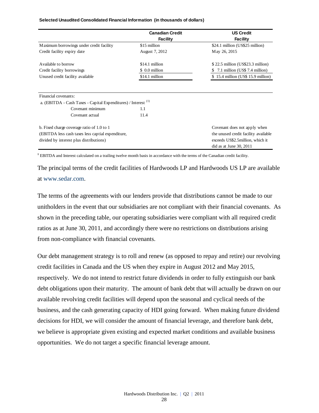| Selected Unaudited Consolidated Financial Information (in thousands of dollars) |  |
|---------------------------------------------------------------------------------|--|
|---------------------------------------------------------------------------------|--|

|                                                                           | <b>Canadian Credit</b> | <b>US Credit</b>                     |
|---------------------------------------------------------------------------|------------------------|--------------------------------------|
|                                                                           | <b>Facility</b>        | <b>Facility</b>                      |
| M aximum borrowings under credit facility                                 | \$15 million           | \$24.1 million (US\$25 million)      |
| Credit facility expiry date                                               | August 7, 2012         | May 26, 2015                         |
| Available to borrow                                                       | \$14.1 million         | $$22.5$ million (US\$23.3 million)   |
| Credit facility borrowings                                                | \$ 0.0 million         | 7.1 million (US\$ 7.4 million)<br>S  |
| Unused credit facility available                                          | \$14.1 million         | $$15.4$ million (US\$ 15.9 million)  |
| Financial covenants:                                                      |                        |                                      |
| a. (EBITDA - Cash Taxes - Capital Expenditures) / Interest <sup>(1)</sup> |                        |                                      |
| Covenant minimum                                                          | 1.1                    |                                      |
| Covenant actual                                                           | 11.4                   |                                      |
| b. Fixed charge coverage ratio of 1.0 to 1                                |                        | Covenant does not apply when         |
| (EBITDA less cash taxes less captial expenditure,                         |                        | the unused credit facility available |
| divided by interest plus distributions)                                   |                        | exceeds US\$2.5 million, which it    |
|                                                                           |                        | did as at June $30, 2011$            |

**<sup>1</sup>** EBITDA and Interest calculated on a trailing twelve month basis in accordance with the terms of the Canadian credit facility.

The principal terms of the credit facilities of Hardwoods LP and Hardwoods US LP are available at [www.sedar.com.](http://www.sedar.com/)

The terms of the agreements with our lenders provide that distributions cannot be made to our unitholders in the event that our subsidiaries are not compliant with their financial covenants. As shown in the preceding table, our operating subsidiaries were compliant with all required credit ratios as at June 30, 2011, and accordingly there were no restrictions on distributions arising from non-compliance with financial covenants.

Our debt management strategy is to roll and renew (as opposed to repay and retire) our revolving credit facilities in Canada and the US when they expire in August 2012 and May 2015, respectively. We do not intend to restrict future dividends in order to fully extinguish our bank debt obligations upon their maturity. The amount of bank debt that will actually be drawn on our available revolving credit facilities will depend upon the seasonal and cyclical needs of the business, and the cash generating capacity of HDI going forward. When making future dividend decisions for HDI, we will consider the amount of financial leverage, and therefore bank debt, we believe is appropriate given existing and expected market conditions and available business opportunities. We do not target a specific financial leverage amount.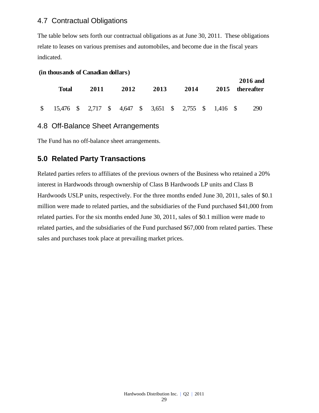## 4.7 Contractual Obligations

The table below sets forth our contractual obligations as at June 30, 2011. These obligations relate to leases on various premises and automobiles, and become due in the fiscal years indicated.

|  | (in thousands of Canadian dollars) |  |
|--|------------------------------------|--|
|--|------------------------------------|--|

| Total                                                                                                                                                  | 2011 | 2012 | 2013 | 2014 |  | 2015 thereafter | <b>2016</b> and |
|--------------------------------------------------------------------------------------------------------------------------------------------------------|------|------|------|------|--|-----------------|-----------------|
| $\frac{15,476}{8}$ $\frac{15,476}{8}$ $\frac{15,476}{8}$ $\frac{2,717}{8}$ $\frac{15,476}{8}$ $\frac{15,476}{8}$ $\frac{15,476}{8}$ $\frac{15,476}{8}$ |      |      |      |      |  |                 | 290             |

### 4.8 Off-Balance Sheet Arrangements

The Fund has no off-balance sheet arrangements.

## **5.0 Related Party Transactions**

Related parties refers to affiliates of the previous owners of the Business who retained a 20% interest in Hardwoods through ownership of Class B Hardwoods LP units and Class B Hardwoods USLP units, respectively. For the three months ended June 30, 2011, sales of \$0.1 million were made to related parties, and the subsidiaries of the Fund purchased \$41,000 from related parties. For the six months ended June 30, 2011, sales of \$0.1 million were made to related parties, and the subsidiaries of the Fund purchased \$67,000 from related parties. These sales and purchases took place at prevailing market prices.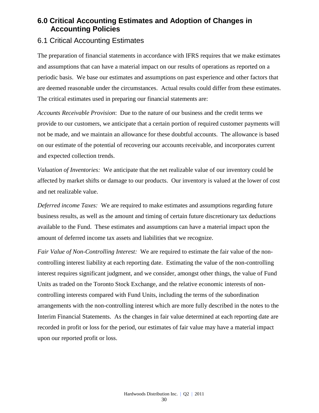## **6.0 Critical Accounting Estimates and Adoption of Changes in Accounting Policies**

### 6.1 Critical Accounting Estimates

The preparation of financial statements in accordance with IFRS requires that we make estimates and assumptions that can have a material impact on our results of operations as reported on a periodic basis. We base our estimates and assumptions on past experience and other factors that are deemed reasonable under the circumstances. Actual results could differ from these estimates. The critical estimates used in preparing our financial statements are:

*Accounts Receivable Provision*: Due to the nature of our business and the credit terms we provide to our customers, we anticipate that a certain portion of required customer payments will not be made, and we maintain an allowance for these doubtful accounts. The allowance is based on our estimate of the potential of recovering our accounts receivable, and incorporates current and expected collection trends.

*Valuation of Inventories:* We anticipate that the net realizable value of our inventory could be affected by market shifts or damage to our products. Our inventory is valued at the lower of cost and net realizable value.

*Deferred income Taxes:* We are required to make estimates and assumptions regarding future business results, as well as the amount and timing of certain future discretionary tax deductions available to the Fund. These estimates and assumptions can have a material impact upon the amount of deferred income tax assets and liabilities that we recognize.

*Fair Value of Non-Controlling Interest:* We are required to estimate the fair value of the noncontrolling interest liability at each reporting date. Estimating the value of the non-controlling interest requires significant judgment, and we consider, amongst other things, the value of Fund Units as traded on the Toronto Stock Exchange, and the relative economic interests of noncontrolling interests compared with Fund Units, including the terms of the subordination arrangements with the non-controlling interest which are more fully described in the notes to the Interim Financial Statements. As the changes in fair value determined at each reporting date are recorded in profit or loss for the period, our estimates of fair value may have a material impact upon our reported profit or loss.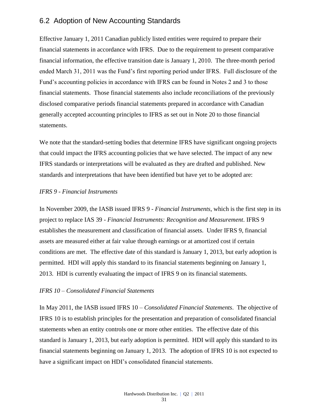### 6.2 Adoption of New Accounting Standards

Effective January 1, 2011 Canadian publicly listed entities were required to prepare their financial statements in accordance with IFRS. Due to the requirement to present comparative financial information, the effective transition date is January 1, 2010. The three-month period ended March 31, 2011 was the Fund's first reporting period under IFRS. Full disclosure of the Fund's accounting policies in accordance with IFRS can be found in Notes 2 and 3 to those financial statements. Those financial statements also include reconciliations of the previously disclosed comparative periods financial statements prepared in accordance with Canadian generally accepted accounting principles to IFRS as set out in Note 20 to those financial statements.

We note that the standard-setting bodies that determine IFRS have significant ongoing projects that could impact the IFRS accounting policies that we have selected. The impact of any new IFRS standards or interpretations will be evaluated as they are drafted and published. New standards and interpretations that have been identified but have yet to be adopted are:

### *IFRS 9 - Financial Instruments*

In November 2009, the IASB issued IFRS 9 - *Financial Instruments*, which is the first step in its project to replace IAS 39 - *Financial Instruments: Recognition and Measurement*. IFRS 9 establishes the measurement and classification of financial assets. Under IFRS 9, financial assets are measured either at fair value through earnings or at amortized cost if certain conditions are met. The effective date of this standard is January 1, 2013, but early adoption is permitted. HDI will apply this standard to its financial statements beginning on January 1, 2013. HDI is currently evaluating the impact of IFRS 9 on its financial statements.

### *IFRS 10 – Consolidated Financial Statements*

In May 2011, the IASB issued IFRS 10 – *Consolidated Financial Statements*. The objective of IFRS 10 is to establish principles for the presentation and preparation of consolidated financial statements when an entity controls one or more other entities. The effective date of this standard is January 1, 2013, but early adoption is permitted. HDI will apply this standard to its financial statements beginning on January 1, 2013. The adoption of IFRS 10 is not expected to have a significant impact on HDI's consolidated financial statements.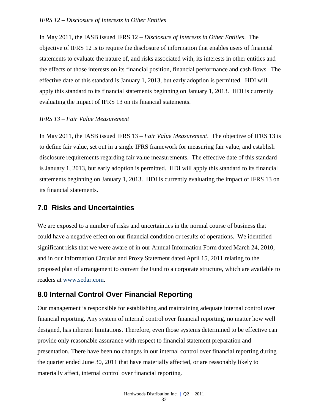#### *IFRS 12 – Disclosure of Interests in Other Entities*

In May 2011, the IASB issued IFRS 12 – *Disclosure of Interests in Other Entities*. The objective of IFRS 12 is to require the disclosure of information that enables users of financial statements to evaluate the nature of, and risks associated with, its interests in other entities and the effects of those interests on its financial position, financial performance and cash flows. The effective date of this standard is January 1, 2013, but early adoption is permitted. HDI will apply this standard to its financial statements beginning on January 1, 2013. HDI is currently evaluating the impact of IFRS 13 on its financial statements.

#### *IFRS 13 – Fair Value Measurement*

In May 2011, the IASB issued IFRS 13 – *Fair Value Measurement*. The objective of IFRS 13 is to define fair value, set out in a single IFRS framework for measuring fair value, and establish disclosure requirements regarding fair value measurements. The effective date of this standard is January 1, 2013, but early adoption is permitted. HDI will apply this standard to its financial statements beginning on January 1, 2013. HDI is currently evaluating the impact of IFRS 13 on its financial statements.

### **7.0 Risks and Uncertainties**

We are exposed to a number of risks and uncertainties in the normal course of business that could have a negative effect on our financial condition or results of operations. We identified significant risks that we were aware of in our Annual Information Form dated March 24, 2010, and in our Information Circular and Proxy Statement dated April 15, 2011 relating to the proposed plan of arrangement to convert the Fund to a corporate structure, which are available to readers at [www.sedar.com.](http://www.sedar.com/)

### **8.0 Internal Control Over Financial Reporting**

Our management is responsible for establishing and maintaining adequate internal control over financial reporting. Any system of internal control over financial reporting, no matter how well designed, has inherent limitations. Therefore, even those systems determined to be effective can provide only reasonable assurance with respect to financial statement preparation and presentation. There have been no changes in our internal control over financial reporting during the quarter ended June 30, 2011 that have materially affected, or are reasonably likely to materially affect, internal control over financial reporting.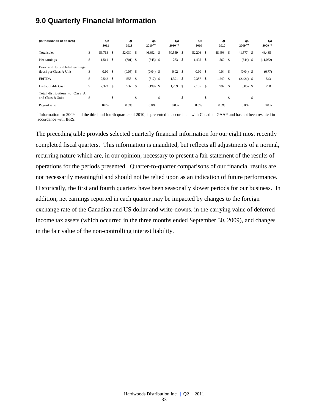## **9.0 Quarterly Financial Information**

| (in thousands of dollars)                                   | Q <sub>2</sub><br>2011 |              | Q1<br>2011  |      | Q4<br>$2010^{(1)}$ | Q3<br>$2010^{(1)}$ |      | Q <sub>2</sub><br>2010 |               | Q1<br>2010 |      | Q4<br>$2009^{(1)}$ |    | Q3<br>$2009^{(1)}$ |
|-------------------------------------------------------------|------------------------|--------------|-------------|------|--------------------|--------------------|------|------------------------|---------------|------------|------|--------------------|----|--------------------|
| Total sales                                                 | \$<br>56,718 \$        |              | 52,030 \$   |      | 46,392 \$          | 50,559             | \$   | 52,206                 | \$            | 48,498 \$  |      | 41,577             | -S | 46,435             |
| Net earnings                                                | \$<br>1,511            | - \$         | $(701)$ \$  |      | $(543)$ \$         | 263                | - \$ | 1,495                  | \$            | 569        | -S   | $(544)$ \$         |    | (11,072)           |
| Basic and fully diluted earnings<br>(loss) per Class A Unit | \$<br>0.10             | $\mathbf{s}$ | $(0.05)$ \$ |      | $(0.04)$ \$        | $0.02 \quad$ \$    |      | 0.10                   | - \$          | $0.04$ \$  |      | $(0.04)$ \$        |    | (0.77)             |
| <b>EBITDA</b>                                               | \$<br>2,542 \$         |              | 558 \$      |      | $(317)$ \$         | $1,391$ \$         |      | 2,387                  | <sup>\$</sup> | $1,240$ \$ |      | $(2,421)$ \$       |    | 543                |
| Distributable Cash                                          | \$<br>2,373            | -\$          | 537         | - \$ | $(199)$ \$         | 1,259              | \$   | 2,105                  | <sup>\$</sup> | 992        | - \$ | $(505)$ \$         |    | 230                |
| Total distributions to Class A<br>and Class B Units         | \$                     | - \$         | $-$ \$      |      | $- S$              | $- S$              |      |                        | $-$ \$        | $\sim$     | -S   | $-$ \$             |    |                    |
| Payout ratio                                                | 0.0%                   |              | 0.0%        |      | 0.0%               | 0.0%               |      | 0.0%                   |               | 0.0%       |      | 0.0%               |    | 0.0%               |

<sup>1</sup> Information for 2009, and the third and fourth quarters of 2010, is presented in accordance with Canadian GAAP and has not been restated in accordance with IFRS.

The preceding table provides selected quarterly financial information for our eight most recently completed fiscal quarters. This information is unaudited, but reflects all adjustments of a normal, recurring nature which are, in our opinion, necessary to present a fair statement of the results of operations for the periods presented. Quarter-to-quarter comparisons of our financial results are not necessarily meaningful and should not be relied upon as an indication of future performance. Historically, the first and fourth quarters have been seasonally slower periods for our business. In addition, net earnings reported in each quarter may be impacted by changes to the foreign exchange rate of the Canadian and US dollar and write-downs, in the carrying value of deferred income tax assets (which occurred in the three months ended September 30, 2009), and changes in the fair value of the non-controlling interest liability.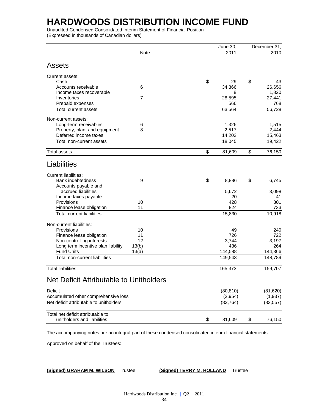Unaudited Condensed Consolidated Interim Statement of Financial Position (Expressed in thousands of Canadian dollars)

|                                                |                | June 30,     | December 31, |
|------------------------------------------------|----------------|--------------|--------------|
|                                                | <b>Note</b>    | 2011         | 2010         |
| Assets                                         |                |              |              |
| Current assets:                                |                |              |              |
| Cash                                           |                | \$<br>29     | \$<br>43     |
| Accounts receivable                            | 6              | 34,366       | 26,656       |
| Income taxes recoverable                       |                | 8            | 1,820        |
| Inventories                                    | $\overline{7}$ | 28,595       | 27,441       |
| Prepaid expenses                               |                | 566          | 768          |
| Total current assets                           |                | 63,564       | 56,728       |
| Non-current assets:                            |                |              |              |
| Long-term receivables                          | 6              | 1,326        | 1,515        |
| Property, plant and equipment                  | 8              | 2,517        | 2,444        |
| Deferred income taxes                          |                | 14,202       | 15,463       |
| Total non-current assets                       |                | 18,045       | 19,422       |
| <b>Total assets</b>                            |                | \$<br>81,609 | \$<br>76,150 |
| Liabilities                                    |                |              |              |
| <b>Current liabilities:</b>                    |                |              |              |
| <b>Bank indebtedness</b>                       | 9              | \$<br>8,886  | \$<br>6,745  |
| Accounts payable and                           |                |              |              |
| accrued liabilities                            |                | 5,672        | 3,098        |
| Income taxes payable                           |                | 20           | 41           |
| Provisions                                     | 10             | 428          | 301          |
| Finance lease obligation                       | 11             | 824          | 733          |
| <b>Total current liabilities</b>               |                | 15,830       | 10,918       |
| Non-current liabilities:                       |                |              |              |
| Provisions                                     | 10             | 49           | 240          |
| Finance lease obligation                       | 11             | 726          | 722          |
| Non-controlling interests                      | 12             | 3,744        | 3,197        |
| Long term incentive plan liability             | 13(b)          | 436          | 264          |
| <b>Fund Units</b>                              | 13(a)          | 144,588      | 144,366      |
| Total non-current liabilities                  |                | 149,543      | 148,789      |
| <b>Total liabilities</b>                       |                | 165,373      | 159,707      |
| <b>Net Deficit Attributable to Unitholders</b> |                |              |              |
| <b>Deficit</b>                                 |                | (80, 810)    | (81, 620)    |
| Accumulated other comprehensive loss           |                | (2,954)      | (1, 937)     |
| Net deficit attributable to unitholders        |                | (83, 764)    | (83, 557)    |
| Total net deficit attributable to              |                |              |              |
| unitholders and liabilities                    |                | \$<br>81,609 | \$<br>76,150 |

The accompanying notes are an integral part of these condensed consolidated interim financial statements.

Approved on behalf of the Trustees:

**(Signed) GRAHAM M. WILSON** Trustee **(Signed) TERRY M. HOLLAND** Trustee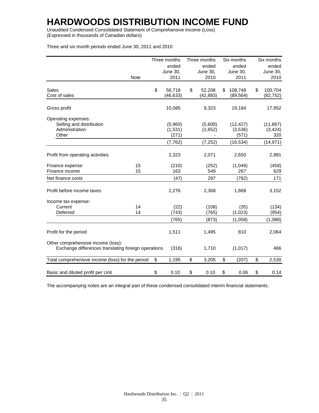Unaudited Condensed Consolidated Statement of Comprehensive Income (Loss) (Expressed in thousands of Canadian dollars)

| Three and six month periods ended June 30, 2011 and 2010 |             |              |              |               |               |
|----------------------------------------------------------|-------------|--------------|--------------|---------------|---------------|
|                                                          |             | Three months | Three months | Six months    | Six months    |
|                                                          |             | ended        | ended        | ended         | ended         |
|                                                          |             | June 30,     | June 30,     | June 30,      | June 30,      |
|                                                          | <b>Note</b> | 2011         | 2010         | 2011          | 2010          |
| <b>Sales</b>                                             |             | \$<br>56,718 | \$<br>52,206 | \$<br>108,748 | \$<br>100,704 |
| Cost of sales                                            |             | (46, 633)    | (42, 883)    | (89, 564)     | (82, 752)     |
| Gross profit                                             |             | 10,085       | 9,323        | 19,184        | 17,952        |
| Operating expenses:                                      |             |              |              |               |               |
| Selling and distribution                                 |             | (5,960)      | (5,600)      | (12, 427)     | (11, 867)     |
| Administration                                           |             | (1,531)      | (1,652)      | (3,536)       | (3, 424)      |
| Other                                                    |             | (271)        |              | (571)         | 320           |
|                                                          |             | (7, 762)     | (7, 252)     | (16, 534)     | (14, 971)     |
| Profit from operating activities                         |             | 2,323        | 2,071        | 2,650         | 2,981         |
| Finance expense                                          | 15          | (210)        | (252)        | (1,049)       | (458)         |
| Finance income                                           | 15          | 163          | 549          | 267           | 629           |
| Net finance costs                                        |             | (47)         | 297          | (782)         | 171           |
| Profit before income taxes                               |             | 2,276        | 2,368        | 1,868         | 3,152         |
| Income tax expense:                                      |             |              |              |               |               |
| Current                                                  | 14          | (22)         | (108)        | (35)          | (134)         |
| Deferred                                                 | 14          | (743)        | (765)        | (1,023)       | (954)         |
|                                                          |             | (765)        | (873)        | (1,058)       | (1,088)       |
| Profit for the period                                    |             | 1,511        | 1,495        | 810           | 2,064         |
| Other comprehensive income (loss):                       |             |              |              |               |               |

Three and six month periods ended June 30, 2011 and 2010

Ē.

L.

 $\mathbf{r}$ 

The accompanying notes are an integral part of these condensed consolidated interim financial statements.

Exchange differences translating foreign operations (316) 1,710 (1,017) 466

Total comprehensive income (loss) for the period \$ 1,195 \$ 3,205 \$ (207) \$ 2,530

Basic and diluted profit per Unit  $$ 0.10 $ 0.10 $ 0.10 $ 0.06 $ 0.14$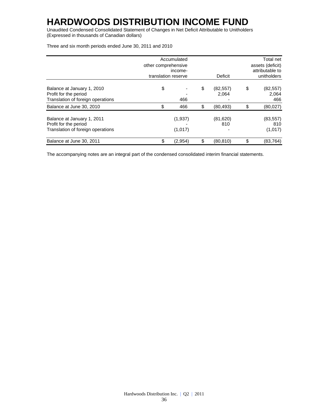Unaudited Condensed Consolidated Statement of Changes in Net Deficit Attributable to Unitholders (Expressed in thousands of Canadian dollars)

|                                                                                          | other comprehensive<br>translation reserve | Accumulated<br>income- | Deficit                  | Total net<br>assets (deficit)<br>attributable to<br>unitholders |
|------------------------------------------------------------------------------------------|--------------------------------------------|------------------------|--------------------------|-----------------------------------------------------------------|
| Balance at January 1, 2010<br>Profit for the period<br>Translation of foreign operations | \$                                         | 466                    | \$<br>(82, 557)<br>2.064 | \$<br>(82, 557)<br>2,064<br>466                                 |
| Balance at June 30, 2010                                                                 | \$                                         | 466                    | \$<br>(80, 493)          | \$<br>(80,027)                                                  |
| Balance at January 1, 2011<br>Profit for the period<br>Translation of foreign operations |                                            | (1,937)<br>(1,017)     | (81,620)<br>810          | (83, 557)<br>810<br>(1,017)                                     |
| Balance at June 30, 2011                                                                 | \$                                         | (2,954)                | \$<br>(80, 810)          | \$<br>(83, 764)                                                 |

The accompanying notes are an integral part of the condensed consolidated interim financial statements.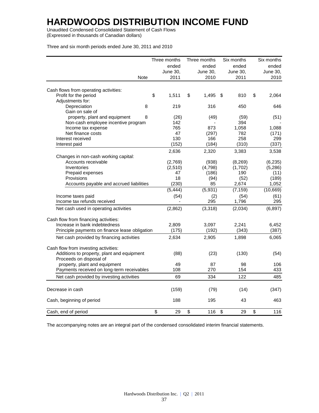Unaudited Condensed Consolidated Statement of Cash Flows (Expressed in thousands of Canadian dollars)

Three and six month periods ended June 30, 2011 and 2010

|                                                | Three months | Three months    | Six months      | Six months  |
|------------------------------------------------|--------------|-----------------|-----------------|-------------|
|                                                | ended        | ended           | ended           | ended       |
|                                                | June 30,     | <b>June 30,</b> | <b>June 30,</b> | June 30,    |
| Note                                           | 2011         | 2010            | 2011            | 2010        |
|                                                |              |                 |                 |             |
| Cash flows from operating activities:          |              |                 |                 |             |
| Profit for the period                          | \$<br>1,511  | \$<br>1,495     | 810<br>\$       | \$<br>2,064 |
| Adjustments for:                               |              |                 |                 |             |
| Depreciation<br>8                              | 219          | 316             | 450             | 646         |
| Gain on sale of                                |              |                 |                 |             |
| property, plant and equipment<br>8             | (26)         | (49)            | (59)            | (51)        |
| Non-cash employee incentive program            | 142          |                 | 394             |             |
| Income tax expense                             | 765          | 873             | 1.058           | 1,088       |
| Net finance costs                              | 47           | (297)           | 782             | (171)       |
| Interest received                              | 130          | 166             | 258             | 299         |
| Interest paid                                  | (152)        | (184)           | (310)           | (337)       |
|                                                | 2,636        | 2,320           | 3,383           | 3,538       |
| Changes in non-cash working capital:           |              |                 |                 |             |
| Accounts receivable                            | (2,769)      | (938)           | (8,269)         | (6, 235)    |
| Inventories                                    | (2, 510)     | (4,798)         | (1,702)         | (5,286)     |
| Prepaid expenses                               | 47           | (186)           | 190             | (11)        |
| Provisions                                     | 18           | (94)            | (52)            | (189)       |
| Accounts payable and accrued liabilities       | (230)        | 85              | 2,674           | 1,052       |
|                                                | (5, 444)     | (5,931)         | (7, 159)        | (10, 669)   |
| Income taxes paid                              | (54)         | (2)             | (54)            | (61)        |
| Income tax refunds received                    |              | 295             | 1,796           | 295         |
| Net cash used in operating activities          | (2,862)      | (3,318)         | (2,034)         | (6, 897)    |
|                                                |              |                 |                 |             |
| Cash flow from financing activities:           |              |                 |                 |             |
| Increase in bank indebtedness                  | 2,809        | 3,097           | 2,241           | 6,452       |
| Principle payments on finance lease obligation | (175)        | (192)           | (343)           | (387)       |
| Net cash provided by financing activities      | 2,634        | 2,905           | 1,898           | 6,065       |
| Cash flow from investing activities:           |              |                 |                 |             |
| Additions to property, plant and equipment     | (88)         | (23)            | (130)           | (54)        |
| Proceeds on disposal of                        |              |                 |                 |             |
| property, plant and equipment                  | 49           | 87              | 98              | 106         |
| Payments received on long-term receivables     | 108          | 270             | 154             | 433         |
|                                                |              |                 |                 |             |
| Net cash provided by investing activities      | 69           | 334             | 122             | 485         |
| Decrease in cash                               | (159)        | (79)            | (14)            | (347)       |
| Cash, beginning of period                      | 188          | 195             | 43              | 463         |
| Cash, end of period                            | \$<br>29     | \$<br>116       | \$<br>29        | \$<br>116   |
|                                                |              |                 |                 |             |

The accompanying notes are an integral part of the condensed consolidated interim financial statements.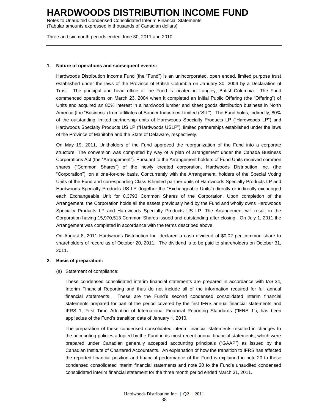Notes to Unaudited Condensed Consolidated Interim Financial Statements (Tabular amounts expressed in thousands of Canadian dollars)

Three and six month periods ended June 30, 2011 and 2010

#### **1. Nature of operations and subsequent events:**

Hardwoods Distribution Income Fund (the "Fund") is an unincorporated, open ended, limited purpose trust established under the laws of the Province of British Columbia on January 30, 2004 by a Declaration of Trust. The principal and head office of the Fund is located in Langley, British Columbia. The Fund commenced operations on March 23, 2004 when it completed an Initial Public Offering (the "Offering") of Units and acquired an 80% interest in a hardwood lumber and sheet goods distribution business in North America (the "Business") from affiliates of Sauder Industries Limited ("SIL"). The Fund holds, indirectly, 80% of the outstanding limited partnership units of Hardwoods Specialty Products LP ("Hardwoods LP") and Hardwoods Specialty Products US LP ("Hardwoods USLP"), limited partnerships established under the laws of the Province of Manitoba and the State of Delaware, respectively.

On May 19, 2011, Unitholders of the Fund approved the reorganization of the Fund into a corporate structure. The conversion was completed by way of a plan of arrangement under the Canada Business Corporations Act (the "Arrangement"). Pursuant to the Arrangement holders of Fund Units received common shares ("Common Shares") of the newly created corporation, Hardwoods Distribution Inc. (the "Corporation"), on a one-for-one basis. Concurrently with the Arrangement, holders of the Special Voting Units of the Fund and corresponding Class B limited partner units of Hardwoods Specialty Products LP and Hardwoods Specialty Products US LP (together the "Exchangeable Units") directly or indirectly exchanged each Exchangeable Unit for 0.3793 Common Shares of the Corporation. Upon completion of the Arrangement, the Corporation holds all the assets previously held by the Fund and wholly owns Hardwoods Specialty Products LP and Hardwoods Specialty Products US LP. The Arrangement will result in the Corporation having 15,970,513 Common Shares issued and outstanding after closing. On July 1, 2011 the Arrangement was completed in accordance with the terms described above.

On August 8, 2011 Hardwoods Distribution Inc. declared a cash dividend of \$0.02 per common share to shareholders of record as of October 20, 2011. The dividend is to be paid to shareholders on October 31, 2011.

#### **2. Basis of preparation:**

#### (a) Statement of compliance:

These condensed consolidated interim financial statements are prepared in accordance with IAS 34, Interim Financial Reporting and thus do not include all of the information required for full annual financial statements. These are the Fund's second condensed consolidated interim financial statements prepared for part of the period covered by the first IFRS annual financial statements and IFRS 1, First Time Adoption of International Financial Reporting Standards ("IFRS 1"), has been applied.as of the Fund's transition date of January 1, 2010.

The preparation of these condensed consolidated interim financial statements resulted in changes to the accounting policies adopted by the Fund in its most recent annual financial statements, which were prepared under Canadian generally accepted accounting principals ("GAAP") as issued by the Canadian Institute of Chartered Accountants. An explanation of how the transition to IFRS has affected the reported financial position and financial performance of the Fund is explained in note 20 to these condensed consolidated interim financial statements and note 20 to the Fund's unaudited condensed consolidated interim financial statement for the three month period ended March 31, 2011.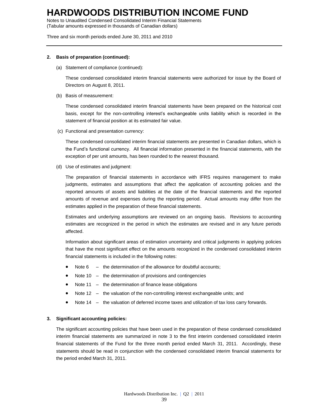Notes to Unaudited Condensed Consolidated Interim Financial Statements (Tabular amounts expressed in thousands of Canadian dollars)

Three and six month periods ended June 30, 2011 and 2010

#### **2. Basis of preparation (continued):**

(a) Statement of compliance (continued):

These condensed consolidated interim financial statements were authorized for issue by the Board of Directors on August 8, 2011.

(b) Basis of measurement:

These condensed consolidated interim financial statements have been prepared on the historical cost basis, except for the non-controlling interest's exchangeable units liability which is recorded in the statement of financial position at its estimated fair value.

(c) Functional and presentation currency:

These condensed consolidated interim financial statements are presented in Canadian dollars, which is the Fund's functional currency. All financial information presented in the financial statements, with the exception of per unit amounts, has been rounded to the nearest thousand.

(d) Use of estimates and judgment:

The preparation of financial statements in accordance with IFRS requires management to make judgments, estimates and assumptions that affect the application of accounting policies and the reported amounts of assets and liabilities at the date of the financial statements and the reported amounts of revenue and expenses during the reporting period. Actual amounts may differ from the estimates applied in the preparation of these financial statements.

Estimates and underlying assumptions are reviewed on an ongoing basis. Revisions to accounting estimates are recognized in the period in which the estimates are revised and in any future periods affected.

Information about significant areas of estimation uncertainty and critical judgments in applying policies that have the most significant effect on the amounts recognized in the condensed consolidated interim financial statements is included in the following notes:

- $\bullet$  Note 6 the determination of the allowance for doubtful accounts;
- Note 10 the determination of provisions and contingencies
- Note 11 the determination of finance lease obligations
- Note 12 the valuation of the non-controlling interest exchangeable units; and
- Note 14 the valuation of deferred income taxes and utilization of tax loss carry forwards.

#### **3. Significant accounting policies:**

The significant accounting policies that have been used in the preparation of these condensed consolidated interim financial statements are summarized in note 3 to the first interim condensed consolidated interim financial statements of the Fund for the three month period ended March 31, 2011. Accordingly, these statements should be read in conjunction with the condensed consolidated interim financial statements for the period ended March 31, 2011.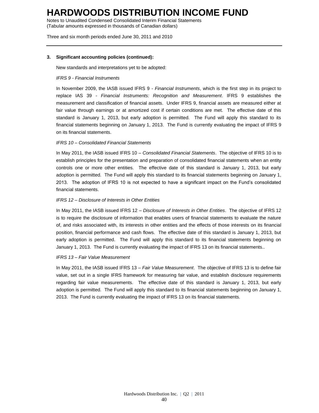Notes to Unaudited Condensed Consolidated Interim Financial Statements (Tabular amounts expressed in thousands of Canadian dollars)

Three and six month periods ended June 30, 2011 and 2010

#### **3. Significant accounting policies (continued):**

New standards and interpretations yet to be adopted:

#### *IFRS 9 - Financial Instruments*

In November 2009, the IASB issued IFRS 9 - *Financial Instruments*, which is the first step in its project to replace IAS 39 - *Financial Instruments: Recognition and Measurement*. IFRS 9 establishes the measurement and classification of financial assets. Under IFRS 9, financial assets are measured either at fair value through earnings or at amortized cost if certain conditions are met. The effective date of this standard is January 1, 2013, but early adoption is permitted. The Fund will apply this standard to its financial statements beginning on January 1, 2013. The Fund is currently evaluating the impact of IFRS 9 on its financial statements.

#### *IFRS 10 – Consolidated Financial Statements*

In May 2011, the IASB issued IFRS 10 – *Consolidated Financial Statements*. The objective of IFRS 10 is to establish principles for the presentation and preparation of consolidated financial statements when an entity controls one or more other entities. The effective date of this standard is January 1, 2013, but early adoption is permitted. The Fund will apply this standard to its financial statements beginning on January 1, 2013. The adoption of IFRS 10 is not expected to have a significant impact on the Fund's consolidated financial statements.

#### *IFRS 12 – Disclosure of Interests in Other Entities*

In May 2011, the IASB issued IFRS 12 – *Disclosure of Interests in Other Entities*. The objective of IFRS 12 is to require the disclosure of information that enables users of financial statements to evaluate the nature of, and risks associated with, its interests in other entities and the effects of those interests on its financial position, financial performance and cash flows. The effective date of this standard is January 1, 2013, but early adoption is permitted. The Fund will apply this standard to its financial statements beginning on January 1, 2013. The Fund is currently evaluating the impact of IFRS 13 on its financial statements..

#### *IFRS 13 – Fair Value Measurement*

In May 2011, the IASB issued IFRS 13 – *Fair Value Measurement*. The objective of IFRS 13 is to define fair value, set out in a single IFRS framework for measuring fair value, and establish disclosure requirements regarding fair value measurements. The effective date of this standard is January 1, 2013, but early adoption is permitted. The Fund will apply this standard to its financial statements beginning on January 1, 2013. The Fund is currently evaluating the impact of IFRS 13 on its financial statements.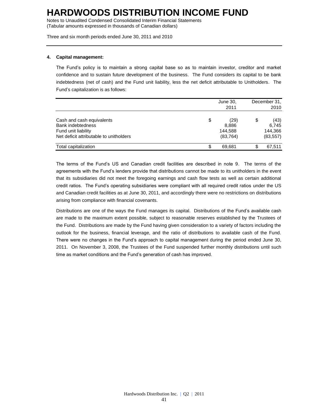Notes to Unaudited Condensed Consolidated Interim Financial Statements (Tabular amounts expressed in thousands of Canadian dollars)

Three and six month periods ended June 30, 2011 and 2010

#### **4. Capital management:**

The Fund's policy is to maintain a strong capital base so as to maintain investor, creditor and market confidence and to sustain future development of the business. The Fund considers its capital to be bank indebtedness (net of cash) and the Fund unit liability, less the net deficit attributable to Unitholders. The Fund's capitalization is as follows:

|                                                 | June 30,         |    | December 31.     |
|-------------------------------------------------|------------------|----|------------------|
|                                                 | 2011             |    | 2010             |
| Cash and cash equivalents                       | \$<br>(29)       | \$ | (43)             |
| <b>Bank indebtedness</b><br>Fund unit liability | 8,886<br>144.588 |    | 6,745<br>144.366 |
| Net deficit attributable to unitholders         | (83, 764)        |    | (83, 557)        |
| Total capitalization                            | 69.681           | S  | 67,511           |

The terms of the Fund's US and Canadian credit facilities are described in note 9. The terms of the agreements with the Fund's lenders provide that distributions cannot be made to its unitholders in the event that its subsidiaries did not meet the foregoing earnings and cash flow tests as well as certain additional credit ratios. The Fund's operating subsidiaries were compliant with all required credit ratios under the US and Canadian credit facilities as at June 30, 2011, and accordingly there were no restrictions on distributions arising from compliance with financial covenants.

Distributions are one of the ways the Fund manages its capital. Distributions of the Fund's available cash are made to the maximum extent possible, subject to reasonable reserves established by the Trustees of the Fund. Distributions are made by the Fund having given consideration to a variety of factors including the outlook for the business, financial leverage, and the ratio of distributions to available cash of the Fund. There were no changes in the Fund's approach to capital management during the period ended June 30, 2011. On November 3, 2008, the Trustees of the Fund suspended further monthly distributions until such time as market conditions and the Fund's generation of cash has improved.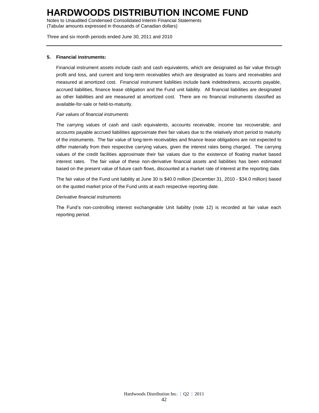Notes to Unaudited Condensed Consolidated Interim Financial Statements (Tabular amounts expressed in thousands of Canadian dollars)

Three and six month periods ended June 30, 2011 and 2010

#### **5. Financial instruments:**

Financial instrument assets include cash and cash equivalents, which are designated as fair value through profit and loss, and current and long-term receivables which are designated as loans and receivables and measured at amortized cost. Financial instrument liabilities include bank indebtedness, accounts payable, accrued liabilities, finance lease obligation and the Fund unit liability. All financial liabilities are designated as other liabilities and are measured at amortized cost. There are no financial instruments classified as available-for-sale or held-to-maturity.

#### *Fair values of financial instruments*

The carrying values of cash and cash equivalents, accounts receivable, income tax recoverable, and accounts payable accrued liabilities approximate their fair values due to the relatively short period to maturity of the instruments. The fair value of long-term receivables and finance lease obligations are not expected to differ materially from their respective carrying values, given the interest rates being charged. The carrying values of the credit facilities approximate their fair values due to the existence of floating market based interest rates. The fair value of these non-derivative financial assets and liabilities has been estimated based on the present value of future cash flows, discounted at a market rate of interest at the reporting date.

The fair value of the Fund unit liability at June 30 is \$40.0 million (December 31, 2010 - \$34.0 million) based on the quoted market price of the Fund units at each respective reporting date.

#### *Derivative financial instruments*

The Fund's non-controlling interest exchangeable Unit liability (note 12) is recorded at fair value each reporting period.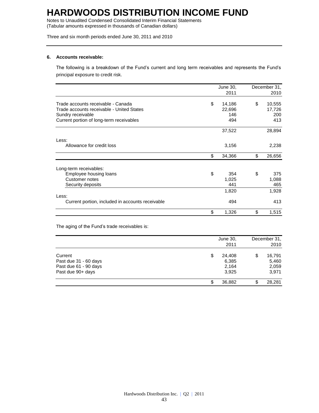Notes to Unaudited Condensed Consolidated Interim Financial Statements (Tabular amounts expressed in thousands of Canadian dollars)

Three and six month periods ended June 30, 2011 and 2010

#### **6. Accounts receivable:**

The following is a breakdown of the Fund's current and long term receivables and represents the Fund's principal exposure to credit risk.

|                                                                                                                                                  | June 30,                             | December 31,                         |
|--------------------------------------------------------------------------------------------------------------------------------------------------|--------------------------------------|--------------------------------------|
|                                                                                                                                                  | 2011                                 | 2010                                 |
| Trade accounts receivable - Canada<br>Trade accounts receivable - United States<br>Sundry receivable<br>Current portion of long-term receivables | \$<br>14,186<br>22,696<br>146<br>494 | \$<br>10,555<br>17,726<br>200<br>413 |
|                                                                                                                                                  | 37,522                               | 28,894                               |
| Less:<br>Allowance for credit loss                                                                                                               | 3,156                                | 2,238                                |
|                                                                                                                                                  | \$<br>34,366                         | \$<br>26,656                         |
| Long-term receivables:<br>Employee housing loans<br>Customer notes<br>Security deposits                                                          | \$<br>354<br>1,025<br>441            | \$<br>375<br>1,088<br>465            |
|                                                                                                                                                  | 1,820                                | 1,928                                |
| Less:<br>Current portion, included in accounts receivable                                                                                        | 494                                  | 413                                  |
|                                                                                                                                                  | \$<br>1,326                          | \$<br>1,515                          |

The aging of the Fund's trade receivables is:

|                                                                                | June 30,<br>2011                        | December 31,<br>2010                    |
|--------------------------------------------------------------------------------|-----------------------------------------|-----------------------------------------|
| Current<br>Past due 31 - 60 days<br>Past due 61 - 90 days<br>Past due 90+ days | \$<br>24.408<br>6,385<br>2,164<br>3,925 | \$<br>16,791<br>5,460<br>2,059<br>3,971 |
|                                                                                | 36,882                                  | \$<br>28,281                            |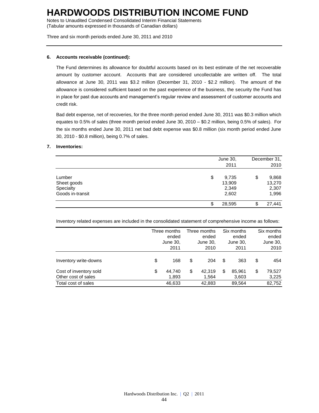Notes to Unaudited Condensed Consolidated Interim Financial Statements (Tabular amounts expressed in thousands of Canadian dollars)

Three and six month periods ended June 30, 2011 and 2010

#### **6. Accounts receivable (continued):**

The Fund determines its allowance for doubtful accounts based on its best estimate of the net recoverable amount by customer account. Accounts that are considered uncollectable are written off. The total allowance at June 30, 2011 was \$3.2 million (December 31, 2010 - \$2.2 million). The amount of the allowance is considered sufficient based on the past experience of the business, the security the Fund has in place for past due accounts and management's regular review and assessment of customer accounts and credit risk.

Bad debt expense, net of recoveries, for the three month period ended June 30, 2011 was \$0.3 million which equates to 0.5% of sales (three month period ended June 30, 2010 – \$0.2 million, being 0.5% of sales). For the six months ended June 30, 2011 net bad debt expense was \$0.8 million (six month period ended June 30, 2010 - \$0.8 million), being 0.7% of sales.

#### **7. Inventories:**

|                                                        | June 30,<br>2011                        | December 31,<br>2010                    |
|--------------------------------------------------------|-----------------------------------------|-----------------------------------------|
| Lumber<br>Sheet goods<br>Specialty<br>Goods in-transit | \$<br>9,735<br>13,909<br>2,349<br>2,602 | \$<br>9,868<br>13,270<br>2,307<br>1,996 |
|                                                        | 28,595                                  | \$<br>27,441                            |

Inventory related expenses are included in the consolidated statement of comprehensive income as follows:

|                                               | Three months<br>ended<br>June 30,<br>2011 | Three months<br>ended<br>June 30,<br>2010 |   | Six months<br>ended<br>June 30,<br>2011 | Six months<br>ended<br>June 30,<br>2010 |
|-----------------------------------------------|-------------------------------------------|-------------------------------------------|---|-----------------------------------------|-----------------------------------------|
| Inventory write-downs                         | \$<br>168                                 | \$<br>204                                 | S | 363                                     | \$<br>454                               |
| Cost of inventory sold<br>Other cost of sales | \$<br>44,740<br>1,893                     | \$<br>42.319<br>1.564                     | S | 85.961<br>3,603                         | \$<br>79,527<br>3,225                   |
| Total cost of sales                           | 46,633                                    | 42,883                                    |   | 89,564                                  | 82,752                                  |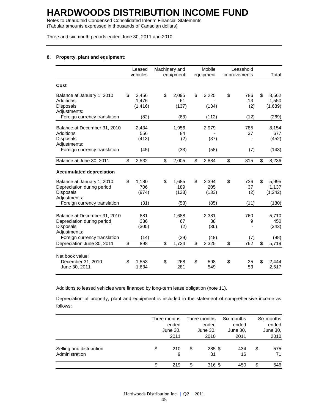Notes to Unaudited Condensed Consolidated Interim Financial Statements (Tabular amounts expressed in thousands of Canadian dollars)

Three and six month periods ended June 30, 2011 and 2010

#### **8. Property, plant and equipment:**

|                                                                                                | Leased<br>vehicles               | Machinery and<br>equipment  | Mobile<br>equipment         |                          | Leasehold<br>improvements | Total                            |
|------------------------------------------------------------------------------------------------|----------------------------------|-----------------------------|-----------------------------|--------------------------|---------------------------|----------------------------------|
| Cost                                                                                           |                                  |                             |                             |                          |                           |                                  |
| Balance at January 1, 2010<br><b>Additions</b><br><b>Disposals</b><br>Adjustments:             | \$<br>2,456<br>1,476<br>(1, 416) | \$<br>2,095<br>61<br>(137)  | \$<br>3,225<br>(134)        | \$                       | 786<br>13<br>(2)          | \$<br>8,562<br>1,550<br>(1,689)  |
| Foreign currency translation                                                                   | (82)                             | (63)                        | (112)                       |                          | (12)                      | (269)                            |
| Balance at December 31, 2010<br>Additions<br><b>Disposals</b><br>Adjustments:                  | 2,434<br>556<br>(413)            | 1,956<br>84<br>(2)          | 2,979<br>(37)               |                          | 785<br>37                 | 8,154<br>677<br>(452)            |
| Foreign currency translation                                                                   | (45)                             | (33)                        | (58)                        |                          | (7)                       | (143)                            |
| Balance at June 30, 2011                                                                       | \$<br>2,532                      | \$<br>2,005                 | \$<br>2,884                 | $\overline{\mathcal{S}}$ | 815                       | \$<br>8,236                      |
| <b>Accumulated depreciation</b>                                                                |                                  |                             |                             |                          |                           |                                  |
| Balance at January 1, 2010<br>Depreciation during period<br>Disposals<br>Adjustments:          | \$<br>1,180<br>706<br>(974)      | \$<br>1,685<br>189<br>(133) | \$<br>2,394<br>205<br>(133) | \$                       | 736<br>37<br>(2)          | \$<br>5,995<br>1,137<br>(1, 242) |
| Foreign currency translation                                                                   | (31)                             | (53)                        | (85)                        |                          | (11)                      | (180)                            |
| Balance at December 31, 2010<br>Depreciation during period<br><b>Disposals</b><br>Adiustments: | 881<br>336<br>(305)              | 1,688<br>67<br>(2)          | 2,381<br>38<br>(36)         |                          | 760<br>9                  | 5,710<br>450<br>(343)            |
| Foreign currency translation                                                                   | (14)                             | (29)                        | (48)                        |                          | (7)                       | (98)                             |
| Depreciation June 30, 2011                                                                     | \$<br>898                        | \$<br>1,724                 | \$<br>2,325                 | \$                       | 762                       | \$<br>5,719                      |
| Net book value:<br>December 31, 2010<br>June 30, 2011                                          | \$<br>1,553<br>1,634             | \$<br>268<br>281            | \$<br>598<br>549            | \$                       | 25<br>53                  | \$<br>2.444<br>2,517             |

Additions to leased vehicles were financed by long-term lease obligation (note 11).

Depreciation of property, plant and equipment is included in the statement of comprehensive income as follows:

|                                            | Three months   |    | Three months   | Six months |    | Six months |  |
|--------------------------------------------|----------------|----|----------------|------------|----|------------|--|
|                                            | ended          |    | ended          | ended      |    | ended      |  |
|                                            | June 30,       |    | June 30,       | June 30,   |    | June 30,   |  |
|                                            | 2011           |    | 2010           | 2011       |    | 2010       |  |
| Selling and distribution<br>Administration | \$<br>210<br>9 | \$ | $285$ \$<br>31 | 434<br>16  | \$ | 575<br>71  |  |
|                                            | 219            | \$ | 316 \$         | 450        | \$ | 646        |  |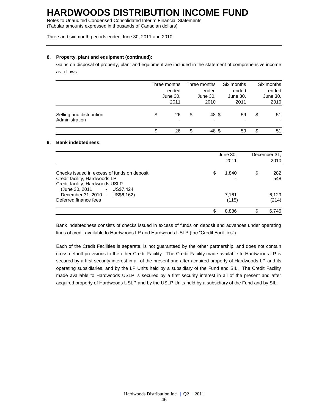Notes to Unaudited Condensed Consolidated Interim Financial Statements (Tabular amounts expressed in thousands of Canadian dollars)

Three and six month periods ended June 30, 2011 and 2010

#### **8. Property, plant and equipment (continued):**

Gains on disposal of property, plant and equipment are included in the statement of comprehensive income as follows:

|                                            | Three months                         |    | Three months                      | Six months                     |    | Six months |  |
|--------------------------------------------|--------------------------------------|----|-----------------------------------|--------------------------------|----|------------|--|
|                                            | ended                                |    | ended                             | ended                          |    | ended      |  |
|                                            | June 30,                             |    | June 30,                          | June 30,                       |    | June 30,   |  |
|                                            | 2011                                 |    | 2010                              | 2011                           |    | 2010       |  |
| Selling and distribution<br>Administration | \$<br>26<br>$\overline{\phantom{0}}$ | \$ | 48 \$<br>$\overline{\phantom{a}}$ | 59<br>$\overline{\phantom{a}}$ | \$ | 51         |  |
|                                            | 26                                   | \$ | 48 \$                             | 59                             | \$ | 51         |  |

#### **9. Bank indebtedness:**

|                                                                                                                                                | June 30,<br>2011 | December 31,<br>2010 |
|------------------------------------------------------------------------------------------------------------------------------------------------|------------------|----------------------|
| Checks issued in excess of funds on deposit<br>Credit facility, Hardwoods LP<br>Credit facility, Hardwoods USLP<br>(June 30, 2011 - US\$7,424; | \$<br>1,840      | \$<br>282<br>548     |
| December 31, 2010 - US\$6,162)<br>Deferred finance fees                                                                                        | 7.161<br>(115)   | 6.129<br>(214)       |
|                                                                                                                                                | \$<br>8.886      | 6.745                |

Bank indebtedness consists of checks issued in excess of funds on deposit and advances under operating lines of credit available to Hardwoods LP and Hardwoods USLP (the "Credit Facilities").

Each of the Credit Facilities is separate, is not guaranteed by the other partnership, and does not contain cross default provisions to the other Credit Facility. The Credit Facility made available to Hardwoods LP is secured by a first security interest in all of the present and after acquired property of Hardwoods LP and its operating subsidiaries, and by the LP Units held by a subsidiary of the Fund and SIL. The Credit Facility made available to Hardwoods USLP is secured by a first security interest in all of the present and after acquired property of Hardwoods USLP and by the USLP Units held by a subsidiary of the Fund and by SIL.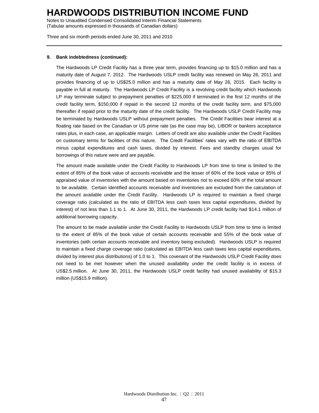Notes to Unaudited Condensed Consolidated Interim Financial Statements (Tabular amounts expressed in thousands of Canadian dollars)

Three and six month periods ended June 30, 2011 and 2010

#### **9. Bank indebtedness (continued):**

The Hardwoods LP Credit Facility has a three year term, provides financing up to \$15.0 million and has a maturity date of August 7, 2012. The Hardwoods USLP credit facility was renewed on May 26, 2011 and provides financing of up to US\$25.0 million and has a maturity date of May 26, 2015. Each facility is payable in full at maturity. The Hardwoods LP Credit Facility is a revolving credit facility which Hardwoods LP may terminate subject to prepayment penalties of \$225,000 if terminated in the first 12 months of the credit facility term, \$150,000 if repaid in the second 12 months of the credit facility term, and \$75,000 thereafter if repaid prior to the maturity date of the credit facility. The Hardwoods USLP Credit Facility may be terminated by Hardwoods USLP without prepayment penalties. The Credit Facilities bear interest at a floating rate based on the Canadian or US prime rate (as the case may be), LIBOR or bankers acceptance rates plus, in each case, an applicable margin. Letters of credit are also available under the Credit Facilities on customary terms for facilities of this nature. The Credit Facilities' rates vary with the ratio of EBITDA minus capital expenditures and cash taxes, divided by interest. Fees and standby charges usual for borrowings of this nature were and are payable.

The amount made available under the Credit Facility to Hardwoods LP from time to time is limited to the extent of 85% of the book value of accounts receivable and the lesser of 60% of the book value or 85% of appraised value of inventories with the amount based on inventories not to exceed 60% of the total amount to be available. Certain identified accounts receivable and inventories are excluded from the calculation of the amount available under the Credit Facility. Hardwoods LP is required to maintain a fixed charge coverage ratio (calculated as the ratio of EBITDA less cash taxes less capital expenditures, divided by interest) of not less than 1.1 to 1. At June 30, 2011, the Hardwoods LP credit facility had \$14.1 million of additional borrowing capacity.

The amount to be made available under the Credit Facility to Hardwoods USLP from time to time is limited to the extent of 85% of the book value of certain accounts receivable and 55% of the book value of inventories (with certain accounts receivable and inventory being excluded). Hardwoods USLP is required to maintain a fixed charge coverage ratio (calculated as EBITDA less cash taxes less capital expenditures, divided by interest plus distributions) of 1.0 to 1. This covenant of the Hardwoods USLP Credit Facility does not need to be met however when the unused availability under the credit facility is in excess of US\$2.5 million. At June 30, 2011, the Hardwoods USLP credit facility had unused availability of \$15.3 million (US\$15.9 million).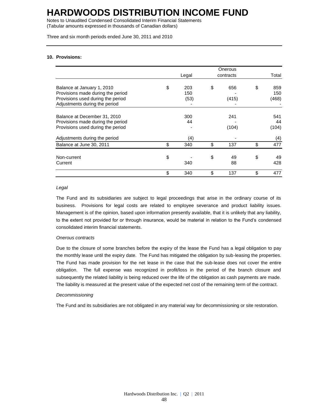Notes to Unaudited Condensed Consolidated Interim Financial Statements (Tabular amounts expressed in thousands of Canadian dollars)

Three and six month periods ended June 30, 2011 and 2010

#### **10. Provisions:**

|                                                                                                                                       |                          | Onerous            |                           |
|---------------------------------------------------------------------------------------------------------------------------------------|--------------------------|--------------------|---------------------------|
|                                                                                                                                       | Legal                    | contracts          | Total                     |
| Balance at January 1, 2010<br>Provisions made during the period<br>Provisions used during the period<br>Adjustments during the period | \$<br>203<br>150<br>(53) | \$<br>656<br>(415) | \$<br>859<br>150<br>(468) |
| Balance at December 31, 2010<br>Provisions made during the period<br>Provisions used during the period                                | 300<br>44                | 241<br>(104)       | 541<br>44<br>(104)        |
| Adjustments during the period                                                                                                         | (4)                      |                    | (4)                       |
| Balance at June 30, 2011                                                                                                              | \$<br>340                | \$<br>137          | \$<br>477                 |
| Non-current<br>Current                                                                                                                | \$<br>340                | \$<br>49<br>88     | \$<br>49<br>428           |
|                                                                                                                                       | \$<br>340                | \$<br>137          | \$<br>477                 |

#### *Legal*

The Fund and its subsidiaries are subject to legal proceedings that arise in the ordinary course of its business. Provisions for legal costs are related to employee severance and product liability issues. Management is of the opinion, based upon information presently available, that it is unlikely that any liability, to the extent not provided for or through insurance, would be material in relation to the Fund's condensed consolidated interim financial statements.

#### *Onerous contracts*

Due to the closure of some branches before the expiry of the lease the Fund has a legal obligation to pay the monthly lease until the expiry date. The Fund has mitigated the obligation by sub-leasing the properties. The Fund has made provision for the net lease in the case that the sub-lease does not cover the entire obligation. The full expense was recognized in profit/loss in the period of the branch closure and subsequently the related liability is being reduced over the life of the obligation as cash payments are made. The liability is measured at the present value of the expected net cost of the remaining term of the contract.

#### *Decommissioning*

The Fund and its subsidiaries are not obligated in any material way for decommissioning or site restoration.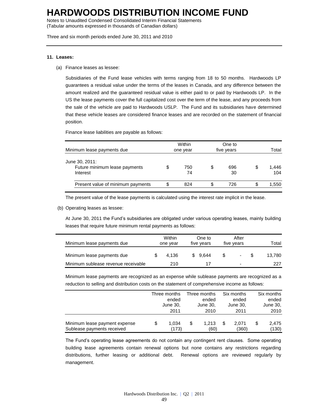Notes to Unaudited Condensed Consolidated Interim Financial Statements (Tabular amounts expressed in thousands of Canadian dollars)

Three and six month periods ended June 30, 2011 and 2010

#### **11. Leases:**

(a) Finance leases as lessee:

Subsidiaries of the Fund lease vehicles with terms ranging from 18 to 50 months. Hardwoods LP guarantees a residual value under the terms of the leases in Canada, and any difference between the amount realized and the guaranteed residual value is either paid to or paid by Hardwoods LP. In the US the lease payments cover the full capitalized cost over the term of the lease, and any proceeds from the sale of the vehicle are paid to Hardwoods USLP. The Fund and its subsidiaries have determined that these vehicle leases are considered finance leases and are recorded on the statement of financial position.

Finance lease liabilities are payable as follows:

| Minimum lease payments due                                  | Within<br>one year |           | One to<br>five years | Total |              |  |
|-------------------------------------------------------------|--------------------|-----------|----------------------|-------|--------------|--|
| June 30, 2011:<br>Future minimum lease payments<br>Interest | \$                 | 750<br>74 | \$<br>696<br>30      | S     | 1,446<br>104 |  |
| Present value of minimum payments                           | \$                 | 824       | \$<br>726            | \$    | 1,550        |  |

The present value of the lease payments is calculated using the interest rate implicit in the lease.

(b) Operating leases as lessee:

At June 30, 2011 the Fund's subsidiaries are obligated under various operating leases, mainly building leases that require future minimum rental payments as follows:

| Minimum lease payments due          | Within<br>one year |       | One to<br>five years |          | After<br>five years |                          | Total  |
|-------------------------------------|--------------------|-------|----------------------|----------|---------------------|--------------------------|--------|
| Minimum lease payments due          |                    | 4.136 |                      | \$ 9.644 |                     | ۰                        | 13.780 |
| Minimum sublease revenue receivable |                    | 210   |                      |          |                     | $\overline{\phantom{0}}$ | 227    |

Minimum lease payments are recognized as an expense while sublease payments are recognized as a reduction to selling and distribution costs on the statement of comprehensive income as follows:

|                               | Three months | Three months |          | Six months |          | Six months  |
|-------------------------------|--------------|--------------|----------|------------|----------|-------------|
|                               | ended        |              | ended    |            | ended    | ended       |
|                               | June 30,     |              | June 30, |            | June 30, | June 30,    |
|                               | 2011         |              | 2010     |            | 2011     | 2010        |
| Minimum lease payment expense | 1.034        | \$           | 1.213    |            | 2.071    | \$<br>2.475 |
| Sublease payments received    | (173)        |              | (60)     |            | (360)    | (130)       |

The Fund's operating lease agreements do not contain any contingent rent clauses. Some operating building lease agreements contain renewal options but none contains any restrictions regarding distributions, further leasing or additional debt. Renewal options are reviewed regularly by management.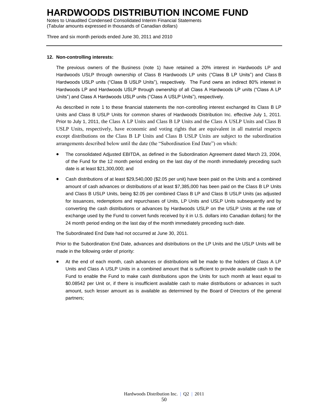Notes to Unaudited Condensed Consolidated Interim Financial Statements (Tabular amounts expressed in thousands of Canadian dollars)

Three and six month periods ended June 30, 2011 and 2010

#### **12. Non-controlling interests:**

The previous owners of the Business (note 1) have retained a 20% interest in Hardwoods LP and Hardwoods USLP through ownership of Class B Hardwoods LP units ("Class B LP Units") and Class B Hardwoods USLP units ("Class B USLP Units"), respectively. The Fund owns an indirect 80% interest in Hardwoods LP and Hardwoods USLP through ownership of all Class A Hardwoods LP units ("Class A LP Units") and Class A Hardwoods USLP units ("Class A USLP Units"), respectively.

As described in note 1 to these financial statements the non-controlling interest exchanged its Class B LP Units and Class B USLP Units for common shares of Hardwoods Distribution Inc. effective July 1, 2011. Prior to July 1, 2011, the Class A LP Units and Class B LP Units and the Class A USLP Units and Class B USLP Units, respectively, have economic and voting rights that are equivalent in all material respects except distributions on the Class B LP Units and Class B USLP Units are subject to the subordination arrangements described below until the date (the "Subordination End Date") on which:

- The consolidated Adjusted EBITDA, as defined in the Subordination Agreement dated March 23, 2004, of the Fund for the 12 month period ending on the last day of the month immediately preceding such date is at least \$21,300,000; and
- Cash distributions of at least \$29,540,000 (\$2.05 per unit) have been paid on the Units and a combined amount of cash advances or distributions of at least \$7,385,000 has been paid on the Class B LP Units and Class B USLP Units, being \$2.05 per combined Class B LP and Class B USLP Units (as adjusted for issuances, redemptions and repurchases of Units, LP Units and USLP Units subsequently and by converting the cash distributions or advances by Hardwoods USLP on the USLP Units at the rate of exchange used by the Fund to convert funds received by it in U.S. dollars into Canadian dollars) for the 24 month period ending on the last day of the month immediately preceding such date.

The Subordinated End Date had not occurred at June 30, 2011.

Prior to the Subordination End Date, advances and distributions on the LP Units and the USLP Units will be made in the following order of priority:

 At the end of each month, cash advances or distributions will be made to the holders of Class A LP Units and Class A USLP Units in a combined amount that is sufficient to provide available cash to the Fund to enable the Fund to make cash distributions upon the Units for such month at least equal to \$0.08542 per Unit or, if there is insufficient available cash to make distributions or advances in such amount, such lesser amount as is available as determined by the Board of Directors of the general partners;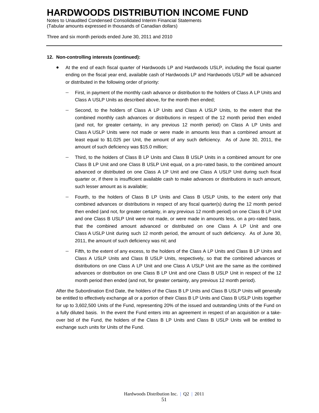Notes to Unaudited Condensed Consolidated Interim Financial Statements (Tabular amounts expressed in thousands of Canadian dollars)

Three and six month periods ended June 30, 2011 and 2010

#### **12. Non-controlling interests (continued):**

- At the end of each fiscal quarter of Hardwoods LP and Hardwoods USLP, including the fiscal quarter ending on the fiscal year end, available cash of Hardwoods LP and Hardwoods USLP will be advanced or distributed in the following order of priority:
	- First, in payment of the monthly cash advance or distribution to the holders of Class A LP Units and Class A USLP Units as described above, for the month then ended;
	- Second, to the holders of Class A LP Units and Class A USLP Units, to the extent that the combined monthly cash advances or distributions in respect of the 12 month period then ended (and not, for greater certainty, in any previous 12 month period) on Class A LP Units and Class A USLP Units were not made or were made in amounts less than a combined amount at least equal to \$1.025 per Unit, the amount of any such deficiency. As of June 30, 2011, the amount of such deficiency was \$15.0 million;
	- Third, to the holders of Class B LP Units and Class B USLP Units in a combined amount for one Class B LP Unit and one Class B USLP Unit equal, on a pro-rated basis, to the combined amount advanced or distributed on one Class A LP Unit and one Class A USLP Unit during such fiscal quarter or, if there is insufficient available cash to make advances or distributions in such amount, such lesser amount as is available;
	- Fourth, to the holders of Class B LP Units and Class B USLP Units, to the extent only that combined advances or distributions in respect of any fiscal quarter(s) during the 12 month period then ended (and not, for greater certainty, in any previous 12 month period) on one Class B LP Unit and one Class B USLP Unit were not made, or were made in amounts less, on a pro-rated basis, that the combined amount advanced or distributed on one Class A LP Unit and one Class A USLP Unit during such 12 month period, the amount of such deficiency. As of June 30, 2011, the amount of such deficiency was nil; and
	- Fifth, to the extent of any excess, to the holders of the Class A LP Units and Class B LP Units and Class A USLP Units and Class B USLP Units, respectively, so that the combined advances or distributions on one Class A LP Unit and one Class A USLP Unit are the same as the combined advances or distribution on one Class B LP Unit and one Class B USLP Unit in respect of the 12 month period then ended (and not, for greater certainty, any previous 12 month period).

After the Subordination End Date, the holders of the Class B LP Units and Class B USLP Units will generally be entitled to effectively exchange all or a portion of their Class B LP Units and Class B USLP Units together for up to 3,602,500 Units of the Fund, representing 20% of the issued and outstanding Units of the Fund on a fully diluted basis. In the event the Fund enters into an agreement in respect of an acquisition or a takeover bid of the Fund, the holders of the Class B LP Units and Class B USLP Units will be entitled to exchange such units for Units of the Fund.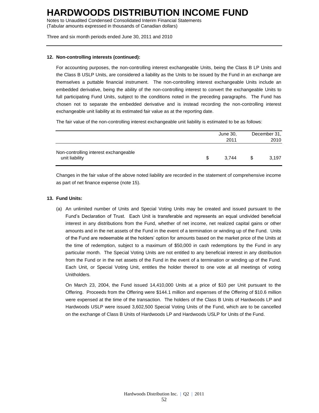Notes to Unaudited Condensed Consolidated Interim Financial Statements (Tabular amounts expressed in thousands of Canadian dollars)

Three and six month periods ended June 30, 2011 and 2010

#### **12. Non-controlling interests (continued):**

For accounting purposes, the non-controlling interest exchangeable Units, being the Class B LP Units and the Class B USLP Units, are considered a liability as the Units to be issued by the Fund in an exchange are themselves a puttable financial instrument. The non-controlling interest exchangeable Units include an embedded derivative, being the ability of the non-controlling interest to convert the exchangeable Units to full participating Fund Units, subject to the conditions noted in the preceding paragraphs. The Fund has chosen not to separate the embedded derivative and is instead recording the non-controlling interest exchangeable unit liability at its estimated fair value as at the reporting date.

The fair value of the non-controlling interest exchangeable unit liability is estimated to be as follows:

|                                                         | June 30,<br>2011 | December 31,<br>2010 |
|---------------------------------------------------------|------------------|----------------------|
| Non-controlling interest exchangeable<br>unit liability | \$<br>3.744      | 3.197                |

Changes in the fair value of the above noted liability are recorded in the statement of comprehensive income as part of net finance expense (note 15).

#### **13. Fund Units:**

(a) An unlimited number of Units and Special Voting Units may be created and issued pursuant to the Fund's Declaration of Trust. Each Unit is transferable and represents an equal undivided beneficial interest in any distributions from the Fund, whether of net income, net realized capital gains or other amounts and in the net assets of the Fund in the event of a termination or winding up of the Fund. Units of the Fund are redeemable at the holders' option for amounts based on the market price of the Units at the time of redemption, subject to a maximum of \$50,000 in cash redemptions by the Fund in any particular month. The Special Voting Units are not entitled to any beneficial interest in any distribution from the Fund or in the net assets of the Fund in the event of a termination or winding up of the Fund. Each Unit, or Special Voting Unit, entitles the holder thereof to one vote at all meetings of voting Unitholders.

On March 23, 2004, the Fund issued 14,410,000 Units at a price of \$10 per Unit pursuant to the Offering. Proceeds from the Offering were \$144.1 million and expenses of the Offering of \$10.6 million were expensed at the time of the transaction. The holders of the Class B Units of Hardwoods LP and Hardwoods USLP were issued 3,602,500 Special Voting Units of the Fund, which are to be cancelled on the exchange of Class B Units of Hardwoods LP and Hardwoods USLP for Units of the Fund.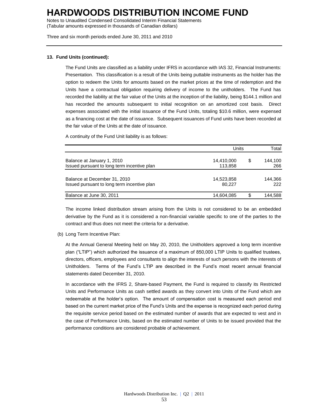Notes to Unaudited Condensed Consolidated Interim Financial Statements (Tabular amounts expressed in thousands of Canadian dollars)

Three and six month periods ended June 30, 2011 and 2010

#### **13. Fund Units (continued):**

The Fund Units are classified as a liability under IFRS in accordance with IAS 32, Financial Instruments: Presentation. This classification is a result of the Units being puttable instruments as the holder has the option to redeem the Units for amounts based on the market prices at the time of redemption and the Units have a contractual obligation requiring delivery of income to the unitholders. The Fund has recorded the liability at the fair value of the Units at the inception of the liability, being \$144.1 million and has recorded the amounts subsequent to initial recognition on an amortized cost basis. Direct expenses associated with the initial issuance of the Fund Units, totaling \$10.6 million, were expensed as a financing cost at the date of issuance. Subsequent issuances of Fund units have been recorded at the fair value of the Units at the date of issuance.

A continuity of the Fund Unit liability is as follows:

|                                             | Units      | Total |         |
|---------------------------------------------|------------|-------|---------|
| Balance at January 1, 2010                  | 14,410,000 | S     | 144.100 |
| Issued pursuant to long term incentive plan | 113.858    |       | 266     |
| Balance at December 31, 2010                | 14,523,858 |       | 144.366 |
| Issued pursuant to long term incentive plan | 80.227     |       | 222     |
| Balance at June 30, 2011                    | 14,604,085 | S.    | 144.588 |

The income linked distribution stream arising from the Units is not considered to be an embedded derivative by the Fund as it is considered a non-financial variable specific to one of the parties to the contract and thus does not meet the criteria for a derivative.

(b) Long Term Incentive Plan:

At the Annual General Meeting held on May 20, 2010, the Unitholders approved a long term incentive plan ("LTIP") which authorized the issuance of a maximum of 850,000 LTIP Units to qualified trustees, directors, officers, employees and consultants to align the interests of such persons with the interests of Unitholders. Terms of the Fund's LTIP are described in the Fund's most recent annual financial statements dated December 31, 2010.

In accordance with the IFRS 2, Share-based Payment, the Fund is required to classify its Restricted Units and Performance Units as cash settled awards as they convert into Units of the Fund which are redeemable at the holder's option. The amount of compensation cost is measured each period end based on the current market price of the Fund's Units and the expense is recognized each period during the requisite service period based on the estimated number of awards that are expected to vest and in the case of Performance Units, based on the estimated number of Units to be issued provided that the performance conditions are considered probable of achievement.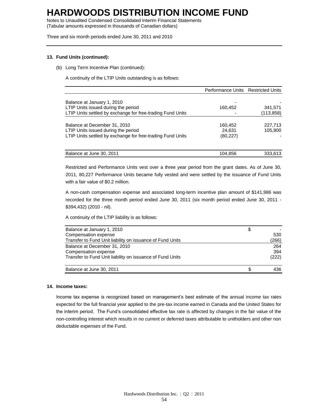Notes to Unaudited Condensed Consolidated Interim Financial Statements (Tabular amounts expressed in thousands of Canadian dollars)

Three and six month periods ended June 30, 2011 and 2010

#### **13. Fund Units (continued):**

(b) Long Term Incentive Plan (continued):

A continuity of the LTIP Units outstanding is as follows:

|                                                            | Performance Units Restricted Units |           |
|------------------------------------------------------------|------------------------------------|-----------|
|                                                            |                                    |           |
| Balance at January 1, 2010                                 |                                    |           |
| LTIP Units issued during the period                        | 160,452                            | 341,571   |
| LTIP Units settled by exchange for free-trading Fund Units |                                    | (113,858) |
|                                                            |                                    |           |
| Balance at December 31, 2010                               | 160,452                            | 227,713   |
| LTIP Units issued during the period                        | 24,631                             | 105,900   |
| LTIP Units settled by exchange for free-trading Fund Units | (80, 227)                          |           |
|                                                            |                                    |           |
| Balance at June 30, 2011                                   | 104,856                            | 333,613   |

Restricted and Performance Units vest over a three year period from the grant dates. As of June 30, 2011, 80,227 Performance Units became fully vested and were settled by the issuance of Fund Units with a fair value of \$0.2 million.

A non-cash compensation expense and associated long-term incentive plan amount of \$141,986 was recorded for the three month period ended June 30, 2011 (six month period ended June 30, 2011 - \$394,432) (2010 - nil).

A continuity of the LTIP liability is as follows:

| Balance at January 1, 2010                                |       |
|-----------------------------------------------------------|-------|
| Compensation expense                                      | 530   |
| Transfer to Fund Unit liability on issuance of Fund Units | (266) |
| Balance at December 31, 2010                              | 264   |
| Compensation expense                                      | 394   |
| Transfer to Fund Unit liability on issuance of Fund Units | (222) |
| Balance at June 30, 2011                                  | 436   |

#### **14. Income taxes:**

Income tax expense is recognized based on management's best estimate of the annual income tax rates expected for the full financial year applied to the pre-tax income earned in Canada and the United States for the interim period. The Fund's consolidated effective tax rate is affected by changes in the fair value of the non-controlling interest which results in no current or deferred taxes attributable to unitholders and other non deductable expenses of the Fund.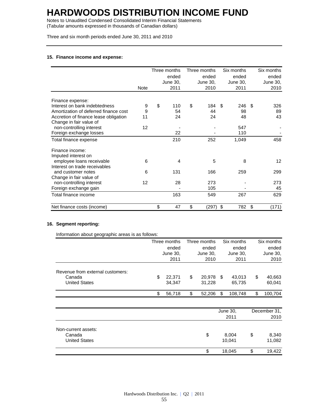Notes to Unaudited Condensed Consolidated Interim Financial Statements (Tabular amounts expressed in thousands of Canadian dollars)

Three and six month periods ended June 30, 2011 and 2010

#### **15. Finance income and expense:**

|                                                   |             |      | Three months |          | Three months | Six months |      | Six months |
|---------------------------------------------------|-------------|------|--------------|----------|--------------|------------|------|------------|
|                                                   |             |      | ended        |          | ended        | ended      |      | ended      |
|                                                   |             |      | June 30,     | June 30, |              | June 30,   |      | June 30,   |
|                                                   | <b>Note</b> | 2011 |              |          | 2010         | 2011       |      | 2010       |
|                                                   |             |      |              |          |              |            |      |            |
| Finance expense:<br>Interest on bank indebtedness |             | \$   |              | \$       |              |            |      |            |
|                                                   | 9           |      | 110          |          | 184          | 246<br>-S  | - \$ | 326        |
| Amortization of deferred finance cost             | 9           |      | 54           |          | 44           | 98         |      | 89         |
| Accretion of finance lease obligation             | 11          |      | 24           |          | 24           | 48         |      | 43         |
| Change in fair value of                           |             |      |              |          |              |            |      |            |
| non-controlling interest                          | 12          |      |              |          |              | 547        |      |            |
| Foreign exchange losses                           |             |      | 22           |          |              | 110        |      |            |
| Total finance expense                             |             |      | 210          |          | 252          | 1,049      |      | 458        |
| Finance income:                                   |             |      |              |          |              |            |      |            |
| Imputed interest on                               |             |      |              |          |              |            |      |            |
| employee loans receivable                         | 6           |      | 4            |          | 5            | 8          |      | 12         |
| Interest on trade receivables                     |             |      |              |          |              |            |      |            |
| and customer notes                                | 6           |      | 131          |          | 166          | 259        |      | 299        |
| Change in fair value of                           |             |      |              |          |              |            |      |            |
| non-controlling interest                          | 12          |      | 28           |          | 273          |            |      | 273        |
| Foreign exchange gain                             |             |      |              |          | 105          |            |      | 45         |
| Total finance income                              |             |      | 163          |          | 549          | 267        |      | 629        |
| Net finance costs (income)                        |             | \$   | 47           | \$       | (297)        | \$<br>782  | \$   | (171)      |

#### **16. Segment reporting:**

Information about geographic areas is as follows:

|                                  |      | Three months |          | Three months | Six months |          | Six months   |          |
|----------------------------------|------|--------------|----------|--------------|------------|----------|--------------|----------|
|                                  |      | ended        |          | ended        |            | ended    |              | ended    |
|                                  |      | June 30,     | June 30, |              | June 30,   |          |              | June 30, |
|                                  | 2011 |              |          | 2010         |            | 2011     |              | 2010     |
| Revenue from external customers: |      |              |          |              |            |          |              |          |
| Canada                           | \$   | 22,371       | \$       | 20,978       | S.         | 43,013   | \$           | 40,663   |
| <b>United States</b>             |      | 34,347       |          | 31,228       |            | 65,735   |              | 60,041   |
|                                  | \$   | 56,718       | \$       | 52,206       | \$         | 108,748  | \$           | 100,704  |
|                                  |      |              |          |              |            |          |              |          |
|                                  |      |              |          |              |            | June 30, | December 31, |          |
|                                  |      |              |          |              |            | 2011     |              | 2010     |
| Non-current assets:              |      |              |          |              |            |          |              |          |
| Canada                           |      |              |          | \$           |            | 8,004    | \$           | 8,340    |
| <b>United States</b>             |      |              |          |              |            | 10,041   |              | 11,082   |
|                                  |      |              |          | \$           |            | 18,045   | \$           | 19,422   |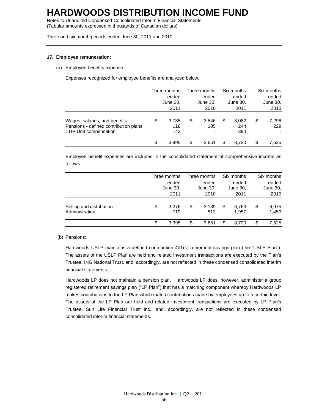Notes to Unaudited Condensed Consolidated Interim Financial Statements (Tabular amounts expressed in thousands of Canadian dollars)

Three and six month periods ended June 30, 2011 and 2010

#### **17. Employee remuneration:**

(a) Employee benefits expense:

Expenses recognized for employee benefits are analyzed below.

|                                                                                                  |                           | Three months | Three months<br>ended<br>June 30, |                   | Six months<br>ended |                     |    | Six months   |
|--------------------------------------------------------------------------------------------------|---------------------------|--------------|-----------------------------------|-------------------|---------------------|---------------------|----|--------------|
|                                                                                                  |                           | ended        |                                   |                   |                     |                     |    | ended        |
|                                                                                                  |                           | June 30,     |                                   |                   |                     | June 30,            |    | June 30,     |
|                                                                                                  |                           | 2011         |                                   | 2010              |                     | 2011                |    | 2010         |
| Wages, salaries, and benefits<br>Pensions - defined contribution plans<br>LTIP Unit compensation | 3,735<br>\$<br>118<br>142 |              | \$                                | 3,546<br>105<br>۰ | \$                  | 8,082<br>244<br>394 | \$ | 7,296<br>229 |
|                                                                                                  | \$                        | 3.995        | \$                                | 3.651             | \$                  | 8.720               | \$ | 7,525        |

Employee benefit expenses are included in the consolidated statement of comprehensive income as follows:

|                                            | Three months<br>ended<br>June 30, | Three months<br>ended<br>June 30, |    | Six months<br>ended<br>June 30, |    | Six months<br>ended<br>June 30, |
|--------------------------------------------|-----------------------------------|-----------------------------------|----|---------------------------------|----|---------------------------------|
|                                            | 2011                              | 2010                              |    | 2011                            |    | 2010                            |
| Selling and distribution<br>Administration | \$<br>3.276<br>719                | \$<br>3,139<br>512                | \$ | 6.763<br>1,957                  | \$ | 6,075<br>1,450                  |
|                                            | 3.995                             | \$<br>3,651                       | \$ | 8.720                           | \$ | 7,525                           |

#### (b) Pensions:

Hardwoods USLP maintains a defined contribution 401(k) retirement savings plan (the "USLP Plan"). The assets of the USLP Plan are held and related investment transactions are executed by the Plan's Trustee, ING National Trust, and, accordingly, are not reflected in these condensed consolidated interim financial statements

Hardwoods LP does not maintain a pension plan. Hardwoods LP does, however, administer a group registered retirement savings plan ("LP Plan") that has a matching component whereby Hardwoods LP makes contributions to the LP Plan which match contributions made by employees up to a certain level. The assets of the LP Plan are held and related investment transactions are executed by LP Plan's Trustee, Sun Life Financial Trust Inc., and, accordingly, are not reflected in these condensed consolidated interim financial statements.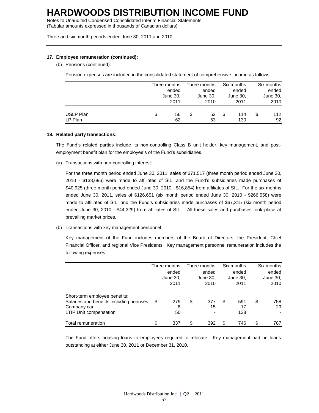Notes to Unaudited Condensed Consolidated Interim Financial Statements (Tabular amounts expressed in thousands of Canadian dollars)

Three and six month periods ended June 30, 2011 and 2010

#### **17. Employee remuneration (continued):**

(b) Pensions (continued):

Pension expenses are included in the consolidated statement of comprehensive income as follows:

|           | Three months |       | Three months |       | Six months | Six months |          |  |
|-----------|--------------|-------|--------------|-------|------------|------------|----------|--|
|           | ended        | ended |              | ended |            | ended      |          |  |
|           | June 30,     |       | June 30,     |       | June 30,   |            | June 30, |  |
|           | 2011         |       | 2010         |       | 2011       | 2010       |          |  |
| USLP Plan | \$<br>56     | \$    | 52           | \$    | 114        | \$         | 112      |  |
| LP Plan   | 62           |       | 53           |       | 130        |            | 92       |  |

#### **18. Related party transactions:**

The Fund's related parties include its non-controlling Class B unit holder, key management, and postemployment benefit plan for the employee's of the Fund's subsidiaries.

(a) Transactions with non-controlling interest:

For the three month period ended June 30, 2011, sales of \$71,517 (three month period ended June 30, 2010 - \$138,696) were made to affiliates of SIL, and the Fund's subsidiaries made purchases of \$40,925 (three month period ended June 30, 2010 - \$16,854) from affiliates of SIL. For the six months ended June 30, 2011, sales of \$126,651 (six month period ended June 30, 2010 - \$266,558) were made to affiliates of SIL, and the Fund's subsidiaries made purchases of \$67,315 (six month period ended June 30, 2010 - \$44,329) from affiliates of SIL. All these sales and purchases took place at prevailing market prices.

(b) Transactions with key management personnel:

Key management of the Fund includes members of the Board of Directors, the President, Chief Financial Officer, and regional Vice Presidents. Key management personnel remuneration includes the following expenses:

|                                                                                                                   | Three months<br>Three months<br>ended<br>ended<br>June 30,<br>June 30,<br>2010<br>2011 |    | Six months<br>ended<br>June 30,<br>2011 |    | Six months<br>ended<br>June 30,<br>2010 |    |           |
|-------------------------------------------------------------------------------------------------------------------|----------------------------------------------------------------------------------------|----|-----------------------------------------|----|-----------------------------------------|----|-----------|
| Short-term employee benefits:<br>Salaries and benefits including bonuses<br>Company car<br>LTIP Unit compensation | \$<br>279<br>8<br>50                                                                   | \$ | 377<br>15                               | \$ | 591<br>17<br>138                        | \$ | 758<br>29 |
| Total remuneration                                                                                                | \$<br>337                                                                              | \$ | 392                                     | \$ | 746                                     | \$ | 787       |

The Fund offers housing loans to employees required to relocate. Key management had no loans outstanding at either June 30, 2011 or December 31, 2010.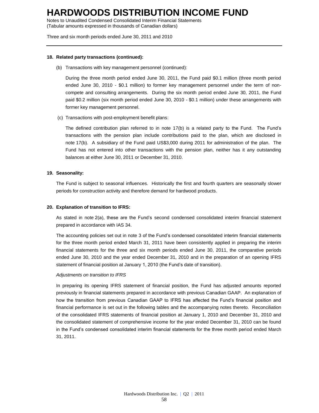Notes to Unaudited Condensed Consolidated Interim Financial Statements (Tabular amounts expressed in thousands of Canadian dollars)

Three and six month periods ended June 30, 2011 and 2010

#### **18. Related party transactions (continued):**

(b) Transactions with key management personnel (continued):

During the three month period ended June 30, 2011, the Fund paid \$0.1 million (three month period ended June 30, 2010 - \$0.1 million) to former key management personnel under the term of noncompete and consulting arrangements. During the six month period ended June 30, 2011, the Fund paid \$0.2 million (six month period ended June 30, 2010 - \$0.1 million) under these arrangements with former key management personnel.

(c) Transactions with post-employment benefit plans:

The defined contribution plan referred to in note 17(b) is a related party to the Fund. The Fund's transactions with the pension plan include contributions paid to the plan, which are disclosed in note 17(b). A subsidiary of the Fund paid US\$3,000 during 2011 for administration of the plan. The Fund has not entered into other transactions with the pension plan, neither has it any outstanding balances at either June 30, 2011 or December 31, 2010.

#### **19. Seasonality:**

The Fund is subject to seasonal influences. Historically the first and fourth quarters are seasonally slower periods for construction activity and therefore demand for hardwood products.

#### **20. Explanation of transition to IFRS:**

As stated in note 2(a), these are the Fund's second condensed consolidated interim financial statement prepared in accordance with IAS 34.

The accounting policies set out in note 3 of the Fund's condensed consolidated interim financial statements for the three month period ended March 31, 2011 have been consistently applied in preparing the interim financial statements for the three and six month periods ended June 30, 2011, the comparative periods ended June 30, 2010 and the year ended December 31, 2010 and in the preparation of an opening IFRS statement of financial position at January 1, 2010 (the Fund's date of transition).

#### *Adjustments on transition to IFRS*

In preparing its opening IFRS statement of financial position, the Fund has adjusted amounts reported previously in financial statements prepared in accordance with previous Canadian GAAP. An explanation of how the transition from previous Canadian GAAP to IFRS has affected the Fund's financial position and financial performance is set out in the following tables and the accompanying notes thereto. Reconciliation of the consolidated IFRS statements of financial position at January 1, 2010 and December 31, 2010 and the consolidated statement of comprehensive income for the year ended December 31, 2010 can be found in the Fund's condensed consolidated interim financial statements for the three month period ended March 31, 2011.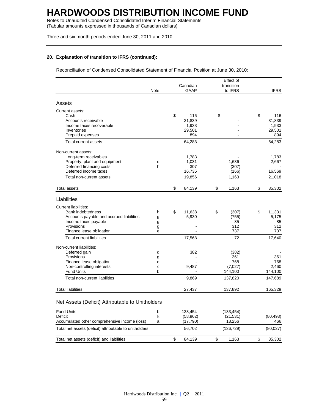Notes to Unaudited Condensed Consolidated Interim Financial Statements (Tabular amounts expressed in thousands of Canadian dollars)

Three and six month periods ended June 30, 2011 and 2010

#### **20. Explanation of transition to IFRS (continued):**

Reconciliation of Condensed Consolidated Statement of Financial Position at June 30, 2010:

|                                                        |        |              | Effect of          |    |                    |
|--------------------------------------------------------|--------|--------------|--------------------|----|--------------------|
|                                                        |        | Canadian     | transition         |    |                    |
|                                                        | Note   | <b>GAAP</b>  | to IFRS            |    | <b>IFRS</b>        |
| Assets                                                 |        |              |                    |    |                    |
| Current assets:                                        |        |              |                    |    |                    |
| Cash                                                   |        | \$<br>116    | \$                 | \$ | 116                |
| Accounts receivable                                    |        | 31,839       |                    |    | 31,839             |
| Income taxes recoverable                               |        | 1,933        |                    |    | 1,933              |
| Inventories                                            |        | 29,501       |                    |    | 29,501             |
| Prepaid expenses                                       |        | 894          |                    |    | 894                |
| Total current assets                                   |        | 64,283       |                    |    | 64,283             |
| Non-current assets:                                    |        |              |                    |    |                    |
| Long-term receivables                                  |        | 1,783        |                    |    | 1,783              |
| Property, plant and equipment                          | е      | 1,031        | 1,636              |    | 2,667              |
| Deferred financing costs                               | h      | 307          | (307)              |    |                    |
| Deferred income taxes                                  | i      | 16,735       | (166)              |    | 16,569             |
| Total non-current assets                               |        | 19,856       | 1,163              |    | 21,018             |
| Total assets                                           |        | \$<br>84,139 | \$<br>1,163        | \$ | 85,302             |
| Liabilities                                            |        |              |                    |    |                    |
|                                                        |        |              |                    |    |                    |
| <b>Current liabilities:</b>                            |        |              |                    |    |                    |
| <b>Bank indebtedness</b>                               | h      | \$<br>11,638 | \$<br>(307)        | \$ | 11,331             |
| Accounts payable and accrued liabilities               | g      | 5,930        | (755)<br>85        |    | 5,175<br>85        |
| Income taxes payable<br>Provisions                     | g<br>g |              | 312                |    | 312                |
| Finance lease obligation                               | e      |              | 737                |    | 737                |
| <b>Total current liabilities</b>                       |        | 17,568       | 72                 |    | 17,640             |
|                                                        |        |              |                    |    |                    |
| Non-current liabilities:                               |        |              |                    |    |                    |
| Deferred gain                                          | d      | 382          | (382)              |    |                    |
| Provisions                                             | g      |              | 361                |    | 361                |
| Finance lease obligation                               | е      |              | 768                |    | 768                |
| Non-controlling interests                              | C      | 9,487        | (7,027)            |    | 2.460              |
| <b>Fund Units</b><br>Total non-current liabilities     | b      | 9,869        | 144,100<br>137,820 |    | 144,100<br>147,689 |
|                                                        |        |              |                    |    |                    |
| <b>Total liabilities</b>                               |        | 27,437       | 137,892            |    | 165,329            |
| Net Assets (Deficit) Attributable to Unitholders       |        |              |                    |    |                    |
| <b>Fund Units</b>                                      | b      | 133,454      | (133, 454)         |    |                    |
| Deficit                                                | k      | (58, 962)    | (21, 531)          |    | (80, 493)          |
| Accumulated other comprehensive income (loss)          | a      | (17,790)     | 18,256             |    | 466                |
| Total net assets (deficit) attributable to unitholders |        | 56,702       | (136, 729)         |    | (80, 027)          |
|                                                        |        |              |                    |    |                    |
| Total net assets (deficit) and liabilities             |        | \$<br>84,139 | \$<br>1,163        | \$ | 85,302             |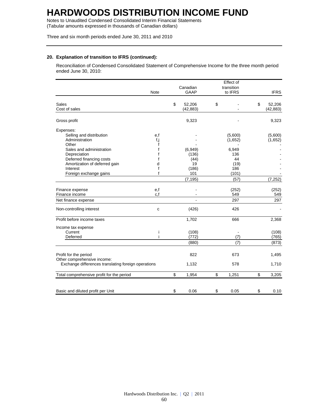Notes to Unaudited Condensed Consolidated Interim Financial Statements (Tabular amounts expressed in thousands of Canadian dollars)

Three and six month periods ended June 30, 2011 and 2010

#### **20. Explanation of transition to IFRS (continued):**

Reconciliation of Condensed Consolidated Statement of Comprehensive Income for the three month period ended June 30, 2010:

|                                                                                    |             |              | Effect of   |              |
|------------------------------------------------------------------------------------|-------------|--------------|-------------|--------------|
|                                                                                    |             | Canadian     | transition  |              |
|                                                                                    | <b>Note</b> | <b>GAAP</b>  | to IFRS     | <b>IFRS</b>  |
| Sales                                                                              |             | \$<br>52,206 | \$          | \$<br>52,206 |
| Cost of sales                                                                      |             | (42, 883)    |             | (42, 883)    |
| Gross profit                                                                       |             | 9,323        |             | 9,323        |
| Expenses:                                                                          |             |              |             |              |
| Selling and distribution                                                           | e,f         |              | (5,600)     | (5,600)      |
| Administration                                                                     | f,j         |              | (1,652)     | (1,652)      |
| Other                                                                              | f           |              |             |              |
| Sales and administration                                                           |             | (6,949)      | 6,949       |              |
| Depreciation                                                                       |             | (136)        | 136         |              |
| Deferred financing costs                                                           | f           | (44)         | 44          |              |
| Amortization of deferred gain                                                      | d           | 19           | (19)        |              |
| Interest                                                                           | f           | (186)        | 186         |              |
| Foreign exchange gains                                                             | f           | 101          | (101)       |              |
|                                                                                    |             | (7, 195)     | (57)        | (7, 252)     |
| Finance expense                                                                    | e,f         |              | (252)       | (252)        |
| Finance income                                                                     | c, f        |              | 549         | 549          |
| Net finance expense                                                                |             |              | 297         | 297          |
| Non-controlling interest                                                           | C           | (426)        | 426         |              |
| Profit before income taxes                                                         |             | 1,702        | 666         | 2,368        |
| Income tax expense                                                                 |             |              |             |              |
| Current                                                                            | ı           | (108)        |             | (108)        |
| Deferred                                                                           | i           | (772)        | (7)         | (765)        |
|                                                                                    |             | (880)        | (7)         | (873)        |
|                                                                                    |             | 822          | 673         | 1,495        |
| Profit for the period                                                              |             |              |             |              |
| Other comprehensive income:<br>Exchange differences translating foreign operations |             | 1,132        | 578         | 1,710        |
| Total comprehensive profit for the period                                          |             | \$<br>1,954  | \$<br>1,251 | \$<br>3,205  |
|                                                                                    |             |              |             |              |
| Basic and diluted profit per Unit                                                  |             | \$<br>0.06   | \$<br>0.05  | \$<br>0.10   |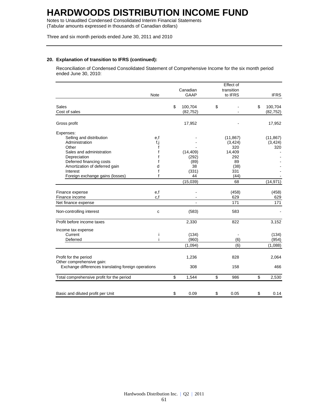Notes to Unaudited Condensed Consolidated Interim Financial Statements (Tabular amounts expressed in thousands of Canadian dollars)

Three and six month periods ended June 30, 2011 and 2010

#### **20. Explanation of transition to IFRS (continued):**

Reconciliation of Condensed Consolidated Statement of Comprehensive Income for the six month period ended June 30, 2010:

|                                                     |              |               | Effect of    |               |
|-----------------------------------------------------|--------------|---------------|--------------|---------------|
|                                                     |              | Canadian      | transition   |               |
|                                                     | <b>Note</b>  | GAAP          | to IFRS      | <b>IFRS</b>   |
| Sales                                               |              | \$<br>100,704 | \$           | \$<br>100,704 |
| Cost of sales                                       |              | (82, 752)     |              | (82, 752)     |
|                                                     |              |               |              |               |
| Gross profit                                        |              | 17,952        |              | 17,952        |
| Expenses:                                           |              |               |              |               |
| Selling and distribution                            | e,f          |               | (11, 867)    | (11, 867)     |
| Administration                                      | f,j          |               | (3, 424)     | (3, 424)      |
| Other                                               | f            |               | 320          | 320           |
| Sales and administration                            | f            | (14, 409)     | 14,409       |               |
| Depreciation                                        | f            | (292)         | 292          |               |
| Deferred financing costs                            | f            | (89)          | 89           |               |
| Amortization of deferred gain                       | d            | 38            | (38)         |               |
| Interest                                            | f            | (331)         | 331          |               |
| Foreign exchange gains (losses)                     | f            | 44            | (44)         |               |
|                                                     |              | (15,039)      | 68           | (14, 971)     |
|                                                     |              |               |              | (458)         |
| Finance expense<br>Finance income                   | e,f<br>c.f   |               | (458)<br>629 | 629           |
|                                                     |              |               | 171          | 171           |
| Net finance expense                                 |              |               |              |               |
| Non-controlling interest                            | $\mathbf{C}$ | (583)         | 583          |               |
| Profit before income taxes                          |              | 2,330         | 822          | 3,152         |
| Income tax expense                                  |              |               |              |               |
| Current                                             | Ť            | (134)         |              | (134)         |
| Deferred                                            |              | (960)         | (6)          | (954)         |
|                                                     |              | (1,094)       | (6)          | (1,088)       |
| Profit for the period                               |              | 1,236         | 828          | 2,064         |
| Other comprehensive gain:                           |              |               |              |               |
| Exchange differences translating foreign operations |              | 308           | 158          | 466           |
|                                                     |              |               |              |               |
| Total comprehensive profit for the period           |              | \$<br>1,544   | \$<br>986    | \$<br>2,530   |
|                                                     |              |               |              |               |
| Basic and diluted profit per Unit                   |              | \$<br>0.09    | \$<br>0.05   | \$<br>0.14    |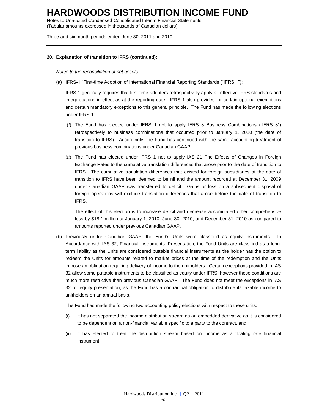Notes to Unaudited Condensed Consolidated Interim Financial Statements (Tabular amounts expressed in thousands of Canadian dollars)

Three and six month periods ended June 30, 2011 and 2010

#### **20. Explanation of transition to IFRS (continued):**

*Notes to the reconciliation of net assets*

(a) IFRS-1 "First-time Adoption of International Financial Reporting Standards ("IFRS 1"):

IFRS 1 generally requires that first-time adopters retrospectively apply all effective IFRS standards and interpretations in effect as at the reporting date. IFRS-1 also provides for certain optional exemptions and certain mandatory exceptions to this general principle. The Fund has made the following elections under IFRS-1:

- (*i*) The Fund has elected under IFRS 1 not to apply IFRS 3 Business Combinations ("IFRS 3") retrospectively to business combinations that occurred prior to January 1, 2010 (the date of transition to IFRS). Accordingly, the Fund has continued with the same accounting treatment of previous business combinations under Canadian GAAP.
- (*ii*) The Fund has elected under IFRS 1 not to apply IAS 21 The Effects of Changes in Foreign Exchange Rates to the cumulative translation differences that arose prior to the date of transition to IFRS. The cumulative translation differences that existed for foreign subsidiaries at the date of transition to IFRS have been deemed to be nil and the amount recorded at December 31, 2009 under Canadian GAAP was transferred to deficit. Gains or loss on a subsequent disposal of foreign operations will exclude translation differences that arose before the date of transition to IFRS.

The effect of this election is to increase deficit and decrease accumulated other comprehensive loss by \$18.1 million at January 1, 2010, June 30, 2010, and December 31, 2010 as compared to amounts reported under previous Canadian GAAP.

(b) Previously under Canadian GAAP, the Fund's Units were classified as equity instruments. In Accordance with IAS 32, Financial Instruments: Presentation, the Fund Units are classified as a longterm liability as the Units are considered puttable financial instruments as the holder has the option to redeem the Units for amounts related to market prices at the time of the redemption and the Units impose an obligation requiring delivery of income to the unitholders. Certain exceptions provided in IAS 32 allow some puttable instruments to be classified as equity under IFRS, however these conditions are much more restrictive than previous Canadian GAAP. The Fund does not meet the exceptions in IAS 32 for equity presentation, as the Fund has a contractual obligation to distribute its taxable income to unitholders on an annual basis.

The Fund has made the following two accounting policy elections with respect to these units:

- (i) it has not separated the income distribution stream as an embedded derivative as it is considered to be dependent on a non-financial variable specific to a party to the contract, and
- (ii) it has elected to treat the distribution stream based on income as a floating rate financial instrument.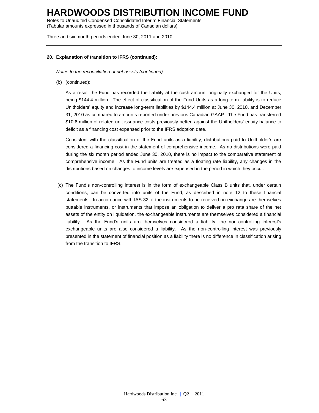Notes to Unaudited Condensed Consolidated Interim Financial Statements (Tabular amounts expressed in thousands of Canadian dollars)

Three and six month periods ended June 30, 2011 and 2010

#### **20. Explanation of transition to IFRS (continued):**

*Notes to the reconciliation of net assets (continued)*

(b) (continued):

As a result the Fund has recorded the liability at the cash amount originally exchanged for the Units, being \$144.4 million. The effect of classification of the Fund Units as a long-term liability is to reduce Unitholders' equity and increase long-term liabilities by \$144.4 million at June 30, 2010, and December 31, 2010 as compared to amounts reported under previous Canadian GAAP. The Fund has transferred \$10.6 million of related unit issuance costs previously netted against the Unitholders' equity balance to deficit as a financing cost expensed prior to the IFRS adoption date.

Consistent with the classification of the Fund units as a liability, distributions paid to Unitholder's are considered a financing cost in the statement of comprehensive income. As no distributions were paid during the six month period ended June 30, 2010, there is no impact to the comparative statement of comprehensive income. As the Fund units are treated as a floating rate liability, any changes in the distributions based on changes to income levels are expensed in the period in which they occur.

(c) The Fund's non-controlling interest is in the form of exchangeable Class B units that, under certain conditions, can be converted into units of the Fund, as described in note 12 to these financial statements. In accordance with IAS 32, if the instruments to be received on exchange are themselves puttable instruments, or instruments that impose an obligation to deliver a pro rata share of the net assets of the entity on liquidation, the exchangeable instruments are themselves considered a financial liability. As the Fund's units are themselves considered a liability, the non-controlling interest's exchangeable units are also considered a liability. As the non-controlling interest was previously presented in the statement of financial position as a liability there is no difference in classification arising from the transition to IFRS.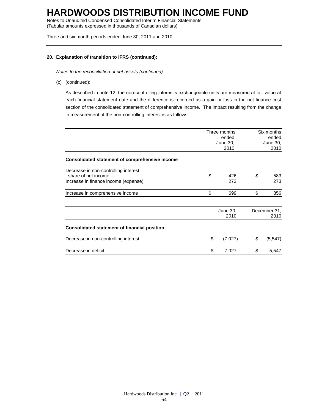Notes to Unaudited Condensed Consolidated Interim Financial Statements (Tabular amounts expressed in thousands of Canadian dollars)

Three and six month periods ended June 30, 2011 and 2010

#### **20. Explanation of transition to IFRS (continued):**

*Notes to the reconciliation of net assets (continued)*

(c) (continued):

As described in note 12, the non-controlling interest's exchangeable units are measured at fair value at each financial statement date and the difference is recorded as a gain or loss in the net finance cost section of the consolidated statement of comprehensive income. The impact resulting from the change in measurement of the non-controlling interest is as follows:

|                                                                                                     |    | Three months<br>ended<br>June 30,<br>2010 | Six months<br>ended<br>June 30,<br>2010 |                      |
|-----------------------------------------------------------------------------------------------------|----|-------------------------------------------|-----------------------------------------|----------------------|
| Consolidated statement of comprehensive income                                                      |    |                                           |                                         |                      |
| Decrease in non-controlling interest<br>share of net income<br>Increase in finance income (expense) | \$ | 426<br>273                                | \$                                      | 583<br>273           |
| Increase in comprehensive income                                                                    | \$ | 699                                       | \$                                      | 856                  |
|                                                                                                     |    | June 30,<br>2010                          |                                         | December 31,<br>2010 |
| <b>Consolidated statement of financial position</b>                                                 |    |                                           |                                         |                      |
| Decrease in non-controlling interest                                                                | \$ | (7,027)                                   | \$                                      | (5, 547)             |
| Decrease in deficit                                                                                 | \$ | 7,027                                     | \$                                      | 5,547                |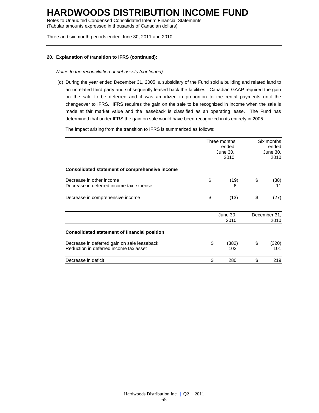Notes to Unaudited Condensed Consolidated Interim Financial Statements (Tabular amounts expressed in thousands of Canadian dollars)

Three and six month periods ended June 30, 2011 and 2010

#### **20. Explanation of transition to IFRS (continued):**

*Notes to the reconciliation of net assets (continued)*

(d) During the year ended December 31, 2005, a subsidiary of the Fund sold a building and related land to an unrelated third party and subsequently leased back the facilities. Canadian GAAP required the gain on the sale to be deferred and it was amortized in proportion to the rental payments until the changeover to IFRS. IFRS requires the gain on the sale to be recognized in income when the sale is made at fair market value and the leaseback is classified as an operating lease. The Fund has determined that under IFRS the gain on sale would have been recognized in its entirety in 2005.

The impact arising from the transition to IFRS is summarized as follows:

|                                                                                       |    | Three months<br>ended<br>June 30,<br>2010 |    | Six months<br>ended<br>June 30,<br>2010 |  |
|---------------------------------------------------------------------------------------|----|-------------------------------------------|----|-----------------------------------------|--|
| Consolidated statement of comprehensive income                                        |    |                                           |    |                                         |  |
| Decrease in other income<br>Decrease in deferred income tax expense                   | \$ | (19)<br>6                                 | \$ | (38)<br>11                              |  |
| Decrease in comprehensive income                                                      | \$ | (13)                                      | \$ | (27)                                    |  |
|                                                                                       |    | June 30,<br>2010                          |    | December 31,<br>2010                    |  |
| <b>Consolidated statement of financial position</b>                                   |    |                                           |    |                                         |  |
| Decrease in deferred gain on sale leaseback<br>Reduction in deferred income tax asset | \$ | (382)<br>102                              | \$ | (320)<br>101                            |  |
| Decrease in deficit                                                                   | \$ | 280                                       | \$ | 219                                     |  |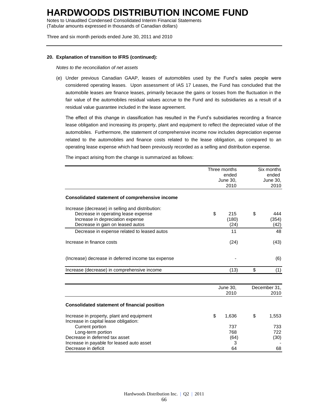Notes to Unaudited Condensed Consolidated Interim Financial Statements (Tabular amounts expressed in thousands of Canadian dollars)

Three and six month periods ended June 30, 2011 and 2010

#### **20. Explanation of transition to IFRS (continued):**

*Notes to the reconciliation of net assets*

(e) Under previous Canadian GAAP, leases of automobiles used by the Fund's sales people were considered operating leases. Upon assessment of IAS 17 Leases, the Fund has concluded that the automobile leases are finance leases, primarily because the gains or losses from the fluctuation in the fair value of the automobiles residual values accrue to the Fund and its subsidiaries as a result of a residual value guarantee included in the lease agreement.

The effect of this change in classification has resulted in the Fund's subsidiaries recording a finance lease obligation and increasing its property, plant and equipment to reflect the depreciated value of the automobiles. Furthermore, the statement of comprehensive income now includes depreciation expense related to the automobiles and finance costs related to the lease obligation, as compared to an operating lease expense which had been previously recorded as a selling and distribution expense.

The impact arising from the change is summarized as follows:

|                                                                                                                             | Three months<br>ended<br>June 30,<br>2010 | Six months<br>ended<br>June 30,<br>2010 |              |
|-----------------------------------------------------------------------------------------------------------------------------|-------------------------------------------|-----------------------------------------|--------------|
| <b>Consolidated statement of comprehensive income</b>                                                                       |                                           |                                         |              |
| Increase (decrease) in selling and distribution:<br>Decrease in operating lease expense<br>Increase in depreciation expense | \$<br>215<br>(180)                        | \$                                      | 444<br>(354) |
| Decrease in gain on leased autos                                                                                            | (24)<br>11                                |                                         | (42)<br>48   |
| Decrease in expense related to leased autos                                                                                 |                                           |                                         |              |
| Increase in finance costs                                                                                                   | (24)                                      |                                         | (43)         |
| (Increase) decrease in deferred income tax expense                                                                          |                                           |                                         | (6)          |
| Increase (decrease) in comprehensive income                                                                                 | (13)                                      | \$                                      | (1)          |
|                                                                                                                             | June 30,                                  |                                         | December 31, |
|                                                                                                                             | 2010                                      |                                         | 2010         |
| <b>Consolidated statement of financial position</b>                                                                         |                                           |                                         |              |
| Increase in property, plant and equipment<br>Increase in capital lease obligation:                                          | \$<br>1,636                               | \$                                      | 1,553        |
| Current portion                                                                                                             | 737                                       |                                         | 733          |
| Long-term portion                                                                                                           | 768                                       |                                         | 722          |
| Decrease in deferred tax asset                                                                                              | (64)                                      |                                         | (30)         |
| Increase in payable for leased auto asset<br>Decrease in deficit                                                            | 3<br>64                                   |                                         | 68           |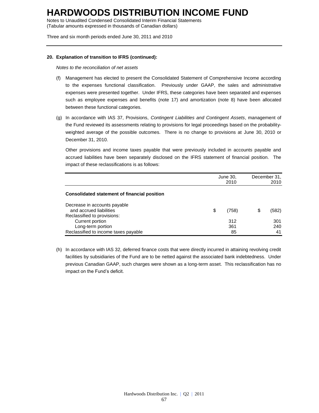Notes to Unaudited Condensed Consolidated Interim Financial Statements (Tabular amounts expressed in thousands of Canadian dollars)

Three and six month periods ended June 30, 2011 and 2010

#### **20. Explanation of transition to IFRS (continued):**

*Notes to the reconciliation of net assets*

- (f) Management has elected to present the Consolidated Statement of Comprehensive Income according to the expenses functional classification. Previously under GAAP, the sales and administrative expenses were presented together. Under IFRS, these categories have been separated and expenses such as employee expenses and benefits (note 17) and amortization (note 8) have been allocated between these functional categories.
- (g) In accordance with IAS 37, Provisions, *Contingent Liabilities and Contingent Assets*, management of the Fund reviewed its assessments relating to provisions for legal proceedings based on the probabilityweighted average of the possible outcomes. There is no change to provisions at June 30, 2010 or December 31, 2010.

Other provisions and income taxes payable that were previously included in accounts payable and accrued liabilities have been separately disclosed on the IFRS statement of financial position. The impact of these reclassifications is as follows:

|                                                                                        |    | June 30,<br>2010 | December 31,<br>2010 |                  |
|----------------------------------------------------------------------------------------|----|------------------|----------------------|------------------|
| Consolidated statement of financial position                                           |    |                  |                      |                  |
| Decrease in accounts payable<br>and accrued liabilities<br>Reclassified to provisions: | \$ | (758)            | S                    | (582)            |
| Current portion<br>Long-term portion<br>Reclassified to income taxes payable           |    | 312<br>361<br>85 |                      | 301<br>240<br>41 |

(h) In accordance with IAS 32, deferred finance costs that were directly incurred in attaining revolving credit facilities by subsidiaries of the Fund are to be netted against the associated bank indebtedness. Under previous Canadian GAAP, such charges were shown as a long-term asset. This reclassification has no impact on the Fund's deficit.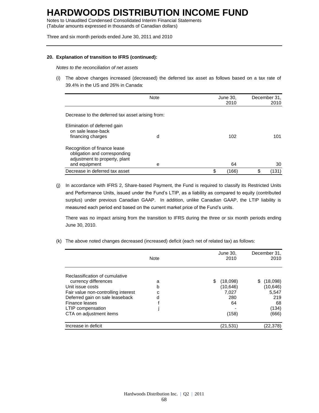Notes to Unaudited Condensed Consolidated Interim Financial Statements (Tabular amounts expressed in thousands of Canadian dollars)

Three and six month periods ended June 30, 2011 and 2010

#### **20. Explanation of transition to IFRS (continued):**

*Notes to the reconciliation of net assets*

(i) The above changes increased (decreased) the deferred tax asset as follows based on a tax rate of 39.4% in the US and 26% in Canada:

|                                                                                                                | <b>Note</b><br>June 30,<br>2010 |    | December 31,<br>2010 |    |       |
|----------------------------------------------------------------------------------------------------------------|---------------------------------|----|----------------------|----|-------|
| Decrease to the deferred tax asset arising from:                                                               |                                 |    |                      |    |       |
| Elimination of deferred gain<br>on sale lease-back<br>financing charges                                        | d                               |    | 102                  |    | 101   |
| Recognition of finance lease<br>obligation and corresponding<br>adjustment to property, plant<br>and equipment | e                               |    | 64                   |    | 30    |
| Decrease in deferred tax asset                                                                                 |                                 | \$ | (166)                | \$ | (131) |

(j) In accordance with IFRS 2, Share-based Payment, the Fund is required to classify its Restricted Units and Performance Units, issued under the Fund's LTIP, as a liability as compared to equity (contributed surplus) under previous Canadian GAAP. In addition, unlike Canadian GAAP, the LTIP liability is measured each period end based on the current market price of the Fund's units.

There was no impact arising from the transition to IFRS during the three or six month periods ending June 30, 2010.

(k) The above noted changes decreased (increased) deficit (each net of related tax) as follows:

|                                     | <b>Note</b> | June 30,<br>2010 | December 31,<br>2010 |
|-------------------------------------|-------------|------------------|----------------------|
| Reclassification of cumulative      |             |                  |                      |
| currency differences                | a           | \$<br>(18,098)   | (18,098)<br>S        |
| Unit issue costs                    | b           | (10, 646)        | (10, 646)            |
| Fair value non-controlling interest | c           | 7,027            | 5,547                |
| Deferred gain on sale leaseback     | d           | 280              | 219                  |
| Finance leases                      |             | 64               | 68                   |
| LTIP compensation                   |             |                  | (134)                |
| CTA on adjustment items             |             | (158)            | (666)                |
| Increase in deficit                 |             | (21,531)         | (22,378)             |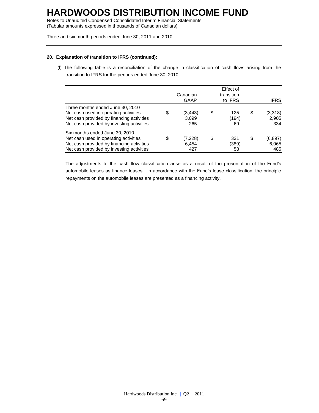Notes to Unaudited Condensed Consolidated Interim Financial Statements (Tabular amounts expressed in thousands of Canadian dollars)

Three and six month periods ended June 30, 2011 and 2010

#### **20. Explanation of transition to IFRS (continued):**

(l) The following table is a reconciliation of the change in classification of cash flows arising from the transition to IFRS for the periods ended June 30, 2010:

|                                                                                                                                                                     |   | Canadian<br>GAAP        | Effect of<br>transition<br>to IFRS | <b>IFRS</b>                    |
|---------------------------------------------------------------------------------------------------------------------------------------------------------------------|---|-------------------------|------------------------------------|--------------------------------|
| Three months ended June 30, 2010<br>Net cash used in operating activities<br>Net cash provided by financing activities<br>Net cash provided by investing activities | S | (3,443)<br>3,099<br>265 | \$<br>125<br>(194)<br>69           | \$<br>(3,318)<br>2,905<br>334  |
| Six months ended June 30, 2010<br>Net cash used in operating activities<br>Net cash provided by financing activities<br>Net cash provided by investing activities   |   | (7,228)<br>6,454<br>427 | \$<br>331<br>(389)<br>58           | \$<br>(6, 897)<br>6,065<br>485 |

The adjustments to the cash flow classification arise as a result of the presentation of the Fund's automobile leases as finance leases. In accordance with the Fund's lease classification, the principle repayments on the automobile leases are presented as a financing activity.